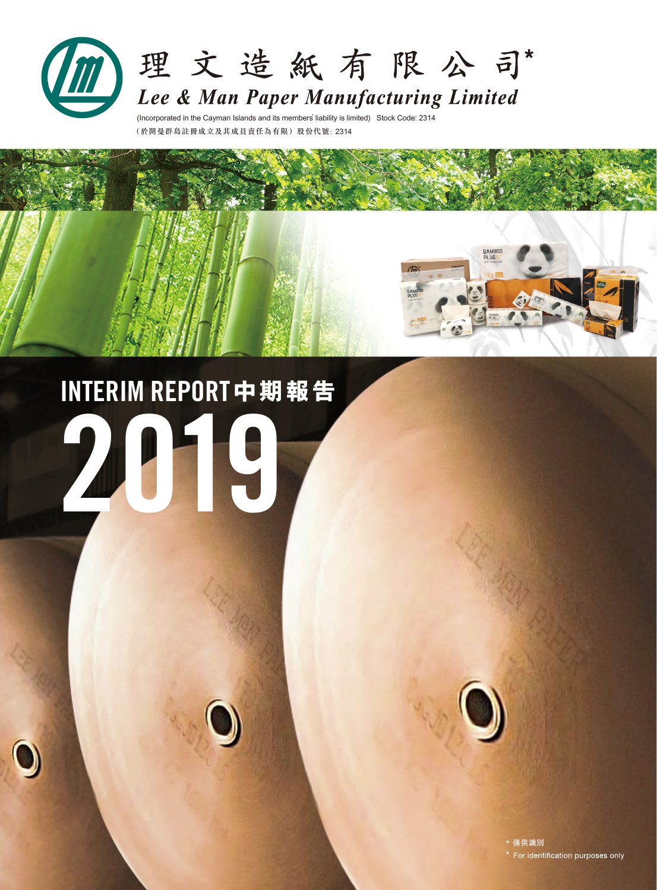

(Incorporated in the Cayman Islands and its members'liability is limited) Stock Code: 2314 (於開曼群島註冊成立及其成員責任為有限)股份代號: 2314

# 2019 INTERIM REPORT**中 期 報 告**



BAMBOO

\* 僅供識別 \* For identification purposes only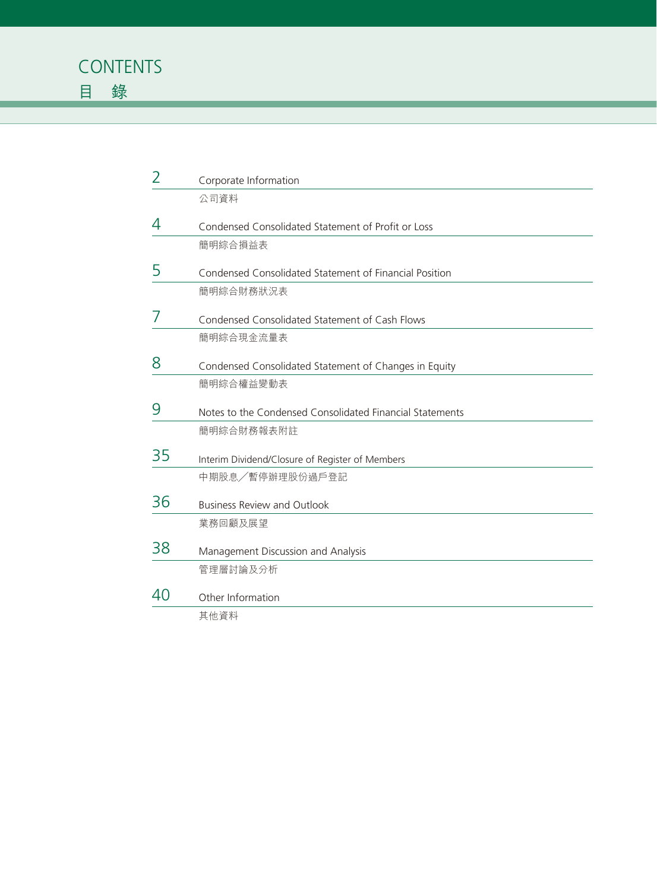| $\overline{2}$ | Corporate Information                                    |
|----------------|----------------------------------------------------------|
|                | 公司資料                                                     |
| 4              | Condensed Consolidated Statement of Profit or Loss       |
|                | 簡明綜合損益表                                                  |
| 5              | Condensed Consolidated Statement of Financial Position   |
|                | 簡明綜合財務狀況表                                                |
| 7              | Condensed Consolidated Statement of Cash Flows           |
|                | 簡明綜合現金流量表                                                |
| 8              | Condensed Consolidated Statement of Changes in Equity    |
|                | 簡明綜合權益變動表                                                |
| 9              | Notes to the Condensed Consolidated Financial Statements |
|                | 簡明綜合財務報表附註                                               |
| 35             | Interim Dividend/Closure of Register of Members          |
|                | 中期股息/暫停辦理股份過戶登記                                          |
| 36             | <b>Business Review and Outlook</b>                       |
|                | 業務回顧及展望                                                  |
| 38             | Management Discussion and Analysis                       |
|                | 管理層討論及分析                                                 |
| 40             | Other Information                                        |
|                | 其他資料                                                     |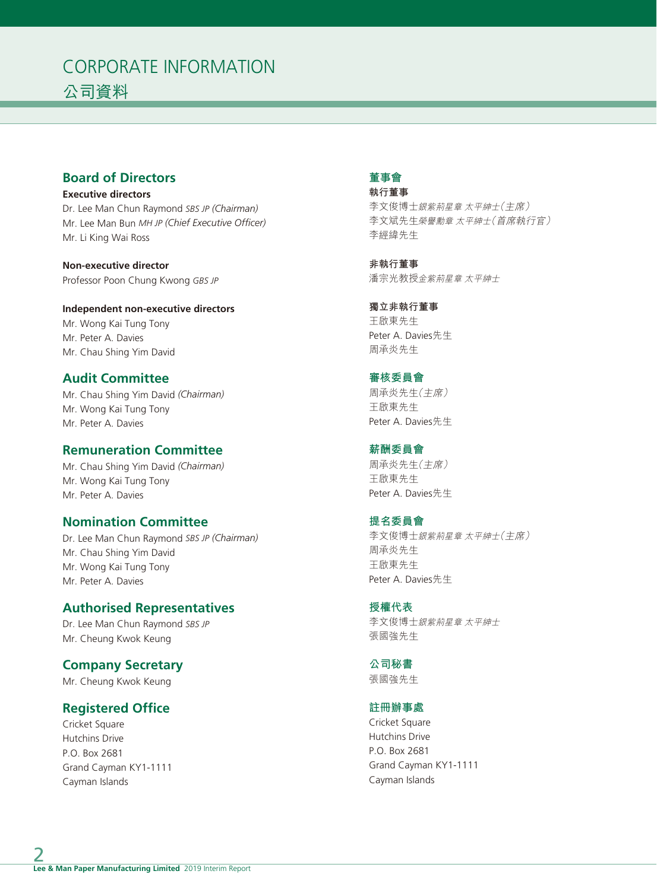# CORPORATE INFORMATION 公司資料

# **Board of Directors**

**Executive directors** Dr. Lee Man Chun Raymond *SBS JP (Chairman)* Mr. Lee Man Bun *MH JP (Chief Executive Officer)* Mr. Li King Wai Ross

**Non-executive director** Professor Poon Chung Kwong *GBS JP*

**Independent non-executive directors** Mr. Wong Kai Tung Tony Mr. Peter A. Davies Mr. Chau Shing Yim David

# **Audit Committee**

Mr. Chau Shing Yim David *(Chairman)* Mr. Wong Kai Tung Tony Mr. Peter A. Davies

# **Remuneration Committee**

Mr. Chau Shing Yim David *(Chairman)* Mr. Wong Kai Tung Tony Mr. Peter A. Davies

# **Nomination Committee**

Dr. Lee Man Chun Raymond *SBS JP (Chairman)* Mr. Chau Shing Yim David Mr. Wong Kai Tung Tony Mr. Peter A. Davies

# **Authorised Representatives**

Dr. Lee Man Chun Raymond *SBS JP* Mr. Cheung Kwok Keung

# **Company Secretary**

Mr. Cheung Kwok Keung

# **Registered Office**

Cricket Square Hutchins Drive P.O. Box 2681 Grand Cayman KY1-1111 Cayman Islands

# **董事會**

**執行董事** 李文俊博士銀紫荊星章 太平紳士(主席) 李文斌先生榮譽勳章 太平紳士(首席執行官) 李經緯先生

**非執行董事** 潘宗光教授金紫荊星章 太平紳士

# **獨立非執行董事** 王啟東先生 Peter A. Davies先生 周承炎先生

**審核委員會**

周承炎先生(主席) 王啟東先生 Peter A. Davies先生

**薪酬委員會** 周承炎先生(主席) 王啟東先生 Peter A. Davies先生

# **提名委員會** 李文俊博士銀紫荊星章 太平紳士(主席) 周承炎先生 王啟東先生 Peter A. Davies先生

**授權代表** 李文俊博士銀紫荊星章 太平紳士 張國強先生

**公司秘書** 張國強先生

# **註冊辦事處**

Cricket Square Hutchins Drive P.O. Box 2681 Grand Cayman KY1-1111 Cayman Islands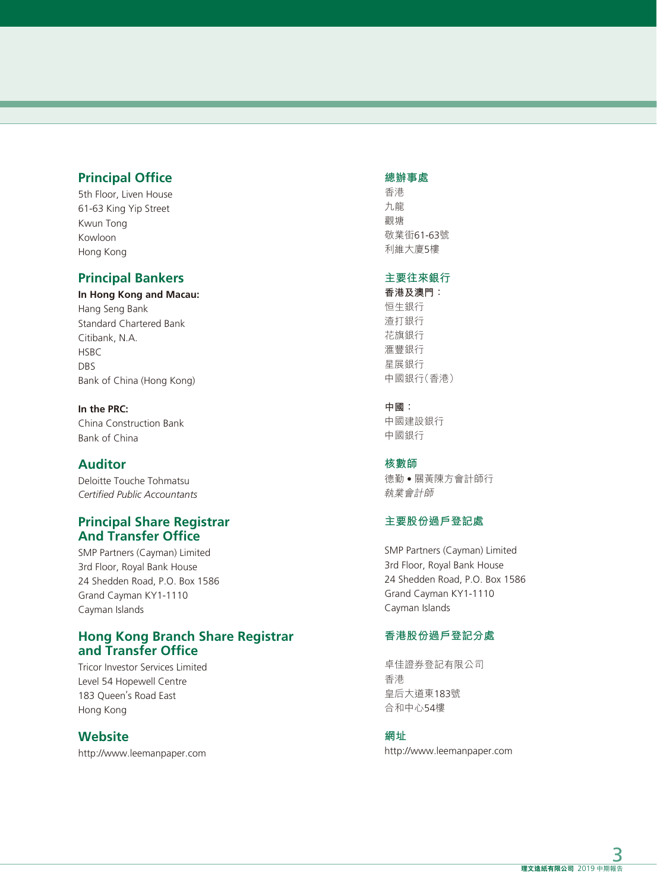# **Principal Office**

5th Floor, Liven House 61-63 King Yip Street Kwun Tong Kowloon Hong Kong

# **Principal Bankers**

**In Hong Kong and Macau:** Hang Seng Bank Standard Chartered Bank Citibank, N.A. **HSBC** DBS Bank of China (Hong Kong)

**In the PRC:** China Construction Bank Bank of China

# **Auditor**

Deloitte Touche Tohmatsu *Certified Public Accountants*

# **Principal Share Registrar And Transfer Office**

SMP Partners (Cayman) Limited 3rd Floor, Royal Bank House 24 Shedden Road, P.O. Box 1586 Grand Cayman KY1-1110 Cayman Islands

# **Hong Kong Branch Share Registrar and Transfer Office**

Tricor Investor Services Limited Level 54 Hopewell Centre 183 Queen's Road East Hong Kong

# **Website**

http://www.leemanpaper.com

### **總辦事處**

香港 九龍 觀塘 敬業街61-63號 利維大廈5樓

### **主要往來銀行**

**香港及澳門:** 恒生銀行 渣打銀行 花旗銀行 滙豐銀行 星展銀行 中國銀行(香港)

### **中國:**

中國建設銀行 中國銀行

#### **核數師**

德勤 • 關黃陳方會計師行 執業會計師

# **主要股份過戶登記處**

SMP Partners (Cayman) Limited 3rd Floor, Royal Bank House 24 Shedden Road, P.O. Box 1586 Grand Cayman KY1-1110 Cayman Islands

# **香港股份過戶登記分處**

卓佳證券登記有限公司 香港 皇后大道東183號 合和中心54樓

**網址**

http://www.leemanpaper.com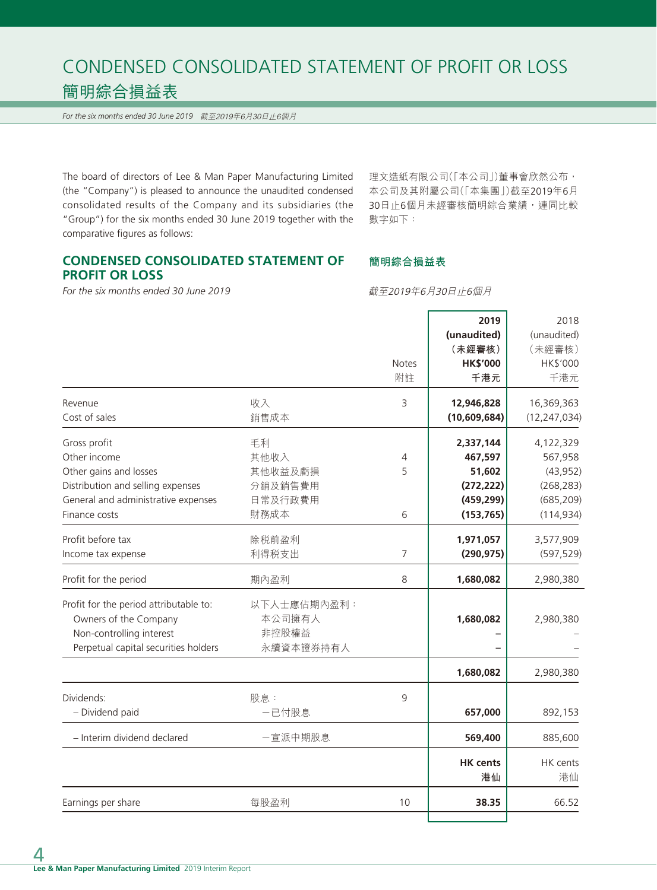# CONDENSED CONSOLIDATED STATEMENT OF PROFIT OR LOSS 簡明綜合損益表

*For the six months ended 30 June 2019* 截至2019年6月30日止6個月

The board of directors of Lee & Man Paper Manufacturing Limited (the "Company") is pleased to announce the unaudited condensed consolidated results of the Company and its subsidiaries (the "Group") for the six months ended 30 June 2019 together with the comparative figures as follows:

理文造紙有限公司(「本公司」)董事會欣然公布, 本公司及其附屬公司(「本集團」)截至2019年6月 30日止6個月未經審核簡明綜合業績,連同比較 數字如下:

# **CONDENSED CONSOLIDATED STATEMENT OF PROFIT OR LOSS**

*For the six months ended 30 June 2019*

截至2019年6月30日止6個月

**簡明綜合損益表**

|                                        |             |                | 2019            | 2018           |
|----------------------------------------|-------------|----------------|-----------------|----------------|
|                                        |             |                | (unaudited)     | (unaudited)    |
|                                        |             |                | (未經審核)          | (未經審核)         |
|                                        |             | <b>Notes</b>   | <b>HK\$'000</b> | HK\$'000       |
|                                        |             | 附註             | 千港元             | 千港元            |
|                                        |             |                |                 |                |
| Revenue                                | 收入          | 3              | 12,946,828      | 16,369,363     |
| Cost of sales                          | 銷售成本        |                | (10,609,684)    | (12, 247, 034) |
| Gross profit                           | 毛利          |                | 2,337,144       | 4,122,329      |
| Other income                           | 其他收入        | $\overline{4}$ | 467,597         | 567,958        |
| Other gains and losses                 | 其他收益及虧損     | 5              | 51,602          | (43, 952)      |
| Distribution and selling expenses      | 分銷及銷售費用     |                | (272, 222)      | (268, 283)     |
| General and administrative expenses    | 日常及行政費用     |                | (459, 299)      | (685, 209)     |
| Finance costs                          | 財務成本        | 6              | (153, 765)      | (114, 934)     |
|                                        |             |                |                 |                |
| Profit before tax                      | 除税前盈利       |                | 1,971,057       | 3,577,909      |
| Income tax expense                     | 利得税支出       | $\overline{7}$ | (290, 975)      | (597, 529)     |
| Profit for the period                  | 期內盈利        | 8              | 1,680,082       | 2,980,380      |
| Profit for the period attributable to: | 以下人士應佔期內盈利: |                |                 |                |
| Owners of the Company                  | 本公司擁有人      |                | 1,680,082       | 2,980,380      |
| Non-controlling interest               | 非控股權益       |                |                 |                |
|                                        |             |                |                 |                |
| Perpetual capital securities holders   | 永續資本證券持有人   |                |                 |                |
|                                        |             |                | 1,680,082       | 2,980,380      |
| Dividends:                             | 股息:         | 9              |                 |                |
| - Dividend paid                        | 一已付股息       |                | 657,000         | 892,153        |
|                                        |             |                |                 |                |
| - Interim dividend declared            | 一宣派中期股息     |                | 569,400         | 885,600        |
|                                        |             |                | <b>HK</b> cents | HK cents       |
|                                        |             |                | 港仙              | 港仙             |
|                                        |             |                |                 |                |
| Earnings per share                     | 每股盈利        | 10             | 38.35           | 66.52          |
|                                        |             |                |                 |                |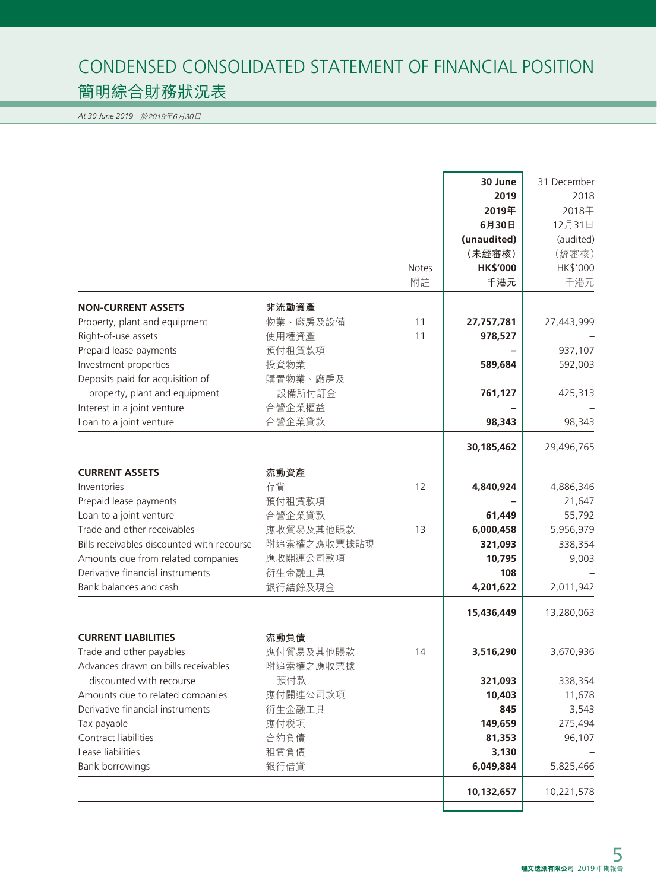# CONDENSED CONSOLIDATED STATEMENT OF FINANCIAL POSITION 簡明綜合財務狀況表

*At 30 June 2019* 於2019年6月30日

|                                                           |                  | <b>Notes</b><br>附註 | 30 June<br>2019<br>2019年<br>6月30日<br>(unaudited)<br>(未經審核)<br><b>HK\$'000</b><br>千港元 | 31 December<br>2018<br>2018年<br>12月31日<br>(audited)<br>(經審核)<br>HK\$'000<br>千港元 |
|-----------------------------------------------------------|------------------|--------------------|--------------------------------------------------------------------------------------|---------------------------------------------------------------------------------|
|                                                           |                  |                    |                                                                                      |                                                                                 |
| <b>NON-CURRENT ASSETS</b>                                 | 非流動資產            |                    |                                                                                      |                                                                                 |
| Property, plant and equipment                             | 物業、廠房及設備         | 11                 | 27,757,781                                                                           | 27,443,999                                                                      |
| Right-of-use assets                                       | 使用權資產            | 11                 | 978,527                                                                              |                                                                                 |
| Prepaid lease payments                                    | 預付租賃款項           |                    |                                                                                      | 937,107                                                                         |
| Investment properties<br>Deposits paid for acquisition of | 投資物業<br>購置物業、廠房及 |                    | 589,684                                                                              | 592,003                                                                         |
| property, plant and equipment                             | 設備所付訂金           |                    | 761,127                                                                              | 425,313                                                                         |
| Interest in a joint venture                               | 合營企業權益           |                    |                                                                                      |                                                                                 |
| Loan to a joint venture                                   | 合營企業貸款           |                    | 98,343                                                                               | 98,343                                                                          |
|                                                           |                  |                    |                                                                                      |                                                                                 |
|                                                           |                  |                    | 30,185,462                                                                           | 29,496,765                                                                      |
| <b>CURRENT ASSETS</b>                                     | 流動資產             |                    |                                                                                      |                                                                                 |
| Inventories                                               | 存貨               | 12                 | 4,840,924                                                                            | 4,886,346                                                                       |
| Prepaid lease payments                                    | 預付租賃款項           |                    |                                                                                      | 21,647                                                                          |
| Loan to a joint venture                                   | 合營企業貸款           |                    | 61,449                                                                               | 55,792                                                                          |
| Trade and other receivables                               | 應收貿易及其他賬款        | 13                 | 6,000,458                                                                            | 5,956,979                                                                       |
| Bills receivables discounted with recourse                | 附追索權之應收票據貼現      |                    | 321,093                                                                              | 338,354                                                                         |
| Amounts due from related companies                        | 應收關連公司款項         |                    | 10,795                                                                               | 9,003                                                                           |
| Derivative financial instruments                          | 衍生金融工具           |                    | 108                                                                                  |                                                                                 |
| Bank balances and cash                                    | 銀行結餘及現金          |                    | 4,201,622                                                                            | 2,011,942                                                                       |
|                                                           |                  |                    | 15,436,449                                                                           | 13,280,063                                                                      |
| <b>CURRENT LIABILITIES</b>                                | 流動負債             |                    |                                                                                      |                                                                                 |
| Trade and other payables                                  | 應付貿易及其他賬款        | 14                 | 3,516,290                                                                            | 3,670,936                                                                       |
| Advances drawn on bills receivables                       | 附追索權之應收票據        |                    |                                                                                      |                                                                                 |
| discounted with recourse                                  | 預付款              |                    | 321,093                                                                              | 338,354                                                                         |
| Amounts due to related companies                          | 應付關連公司款項         |                    | 10,403                                                                               | 11,678                                                                          |
| Derivative financial instruments                          | 衍生金融工具           |                    | 845                                                                                  | 3,543                                                                           |
| Tax payable                                               | 應付税項             |                    | 149,659                                                                              | 275,494                                                                         |
| Contract liabilities                                      | 合約負債             |                    | 81,353                                                                               | 96,107                                                                          |
| Lease liabilities                                         | 租賃負債             |                    | 3,130                                                                                |                                                                                 |
| <b>Bank borrowings</b>                                    | 銀行借貸             |                    | 6,049,884                                                                            | 5,825,466                                                                       |
|                                                           |                  |                    | 10,132,657                                                                           | 10,221,578                                                                      |
|                                                           |                  |                    |                                                                                      |                                                                                 |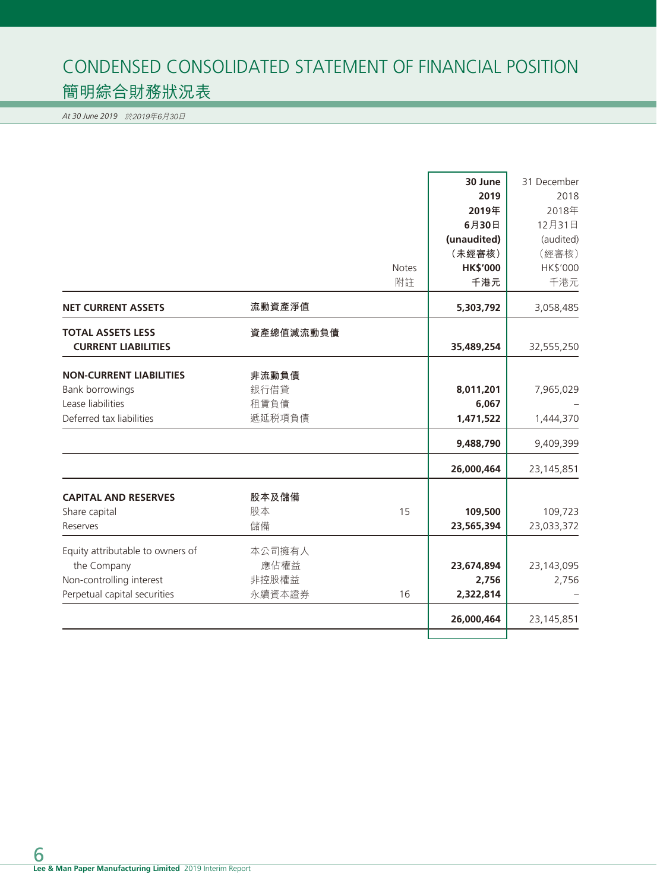# CONDENSED CONSOLIDATED STATEMENT OF FINANCIAL POSITION 簡明綜合財務狀況表

*At 30 June 2019* 於2019年6月30日

|                                  |           |              | 30 June         | 31 December  |
|----------------------------------|-----------|--------------|-----------------|--------------|
|                                  |           |              | 2019            | 2018         |
|                                  |           |              | 2019年           | 2018年        |
|                                  |           |              | 6月30日           | 12月31日       |
|                                  |           |              | (unaudited)     | (audited)    |
|                                  |           |              | (未經審核)          | (經審核)        |
|                                  |           | <b>Notes</b> | <b>HK\$'000</b> | HK\$'000     |
|                                  |           | 附註           | 千港元             | 千港元          |
| <b>NET CURRENT ASSETS</b>        | 流動資產淨值    |              | 5,303,792       | 3,058,485    |
| <b>TOTAL ASSETS LESS</b>         | 資產總值減流動負債 |              |                 |              |
| <b>CURRENT LIABILITIES</b>       |           |              | 35,489,254      | 32,555,250   |
| <b>NON-CURRENT LIABILITIES</b>   | 非流動負債     |              |                 |              |
| Bank borrowings                  | 銀行借貸      |              | 8,011,201       | 7,965,029    |
| Lease liabilities                | 租賃負債      |              | 6,067           |              |
| Deferred tax liabilities         | 遞延税項負債    |              | 1,471,522       | 1,444,370    |
|                                  |           |              |                 |              |
|                                  |           |              | 9,488,790       | 9,409,399    |
|                                  |           |              | 26,000,464      | 23, 145, 851 |
| <b>CAPITAL AND RESERVES</b>      | 股本及儲備     |              |                 |              |
| Share capital                    | 股本        | 15           | 109,500         | 109,723      |
| Reserves                         | 儲備        |              | 23,565,394      | 23,033,372   |
| Equity attributable to owners of | 本公司擁有人    |              |                 |              |
| the Company                      | 應佔權益      |              | 23,674,894      | 23,143,095   |
| Non-controlling interest         | 非控股權益     |              | 2,756           | 2,756        |
| Perpetual capital securities     | 永續資本證券    | 16           | 2,322,814       |              |
|                                  |           |              | 26,000,464      | 23, 145, 851 |
|                                  |           |              |                 |              |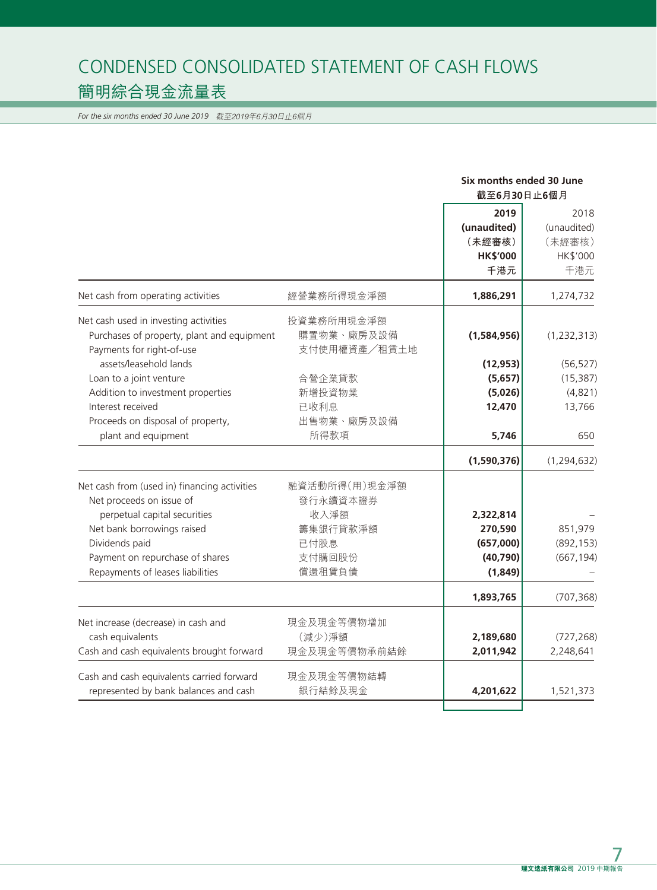# CONDENSED CONSOLIDATED STATEMENT OF CASH FLOWS 簡明綜合現金流量表

*For the six months ended 30 June 2019* 截至2019年6月30日止6個月

|                                                                                                                  |                                          | Six months ended 30 June                                |                                                  |  |
|------------------------------------------------------------------------------------------------------------------|------------------------------------------|---------------------------------------------------------|--------------------------------------------------|--|
|                                                                                                                  |                                          | 截至6月30日止6個月                                             |                                                  |  |
|                                                                                                                  |                                          | 2019<br>(unaudited)<br>(未經審核)<br><b>HK\$'000</b><br>千港元 | 2018<br>(unaudited)<br>(未經審核)<br>HK\$'000<br>千港元 |  |
| Net cash from operating activities                                                                               | 經營業務所得現金淨額                               | 1,886,291                                               | 1,274,732                                        |  |
| Net cash used in investing activities<br>Purchases of property, plant and equipment<br>Payments for right-of-use | 投資業務所用現金淨額<br>購置物業、廠房及設備<br>支付使用權資產/租賃土地 | (1,584,956)                                             | (1, 232, 313)                                    |  |
| assets/leasehold lands                                                                                           |                                          | (12, 953)                                               | (56, 527)                                        |  |
| Loan to a joint venture                                                                                          | 合營企業貸款                                   | (5,657)                                                 | (15, 387)                                        |  |
| Addition to investment properties                                                                                | 新增投資物業                                   | (5,026)                                                 | (4,821)                                          |  |
| Interest received                                                                                                | 已收利息                                     | 12,470                                                  | 13,766                                           |  |
| Proceeds on disposal of property,                                                                                | 出售物業、廠房及設備                               |                                                         |                                                  |  |
| plant and equipment                                                                                              | 所得款項                                     | 5,746                                                   | 650                                              |  |
|                                                                                                                  |                                          | (1,590,376)                                             | (1, 294, 632)                                    |  |
| Net cash from (used in) financing activities<br>Net proceeds on issue of                                         | 融資活動所得(用)現金淨額<br>發行永續資本證券                |                                                         |                                                  |  |
| perpetual capital securities                                                                                     | 收入淨額                                     | 2,322,814                                               |                                                  |  |
| Net bank borrowings raised                                                                                       | 籌集銀行貸款淨額                                 | 270,590                                                 | 851,979                                          |  |
| Dividends paid                                                                                                   | 已付股息                                     | (657,000)                                               | (892, 153)                                       |  |
| Payment on repurchase of shares                                                                                  | 支付購回股份                                   | (40, 790)                                               | (667, 194)                                       |  |
| Repayments of leases liabilities                                                                                 | 償還租賃負債                                   | (1,849)                                                 |                                                  |  |
|                                                                                                                  |                                          | 1,893,765                                               | (707, 368)                                       |  |
| Net increase (decrease) in cash and                                                                              | 現金及現金等價物增加                               |                                                         |                                                  |  |
| cash equivalents                                                                                                 | (減少)淨額                                   | 2,189,680                                               | (727, 268)                                       |  |
| Cash and cash equivalents brought forward                                                                        | 現金及現金等價物承前結餘                             | 2,011,942                                               | 2,248,641                                        |  |
| Cash and cash equivalents carried forward                                                                        | 現金及現金等價物結轉                               |                                                         |                                                  |  |
| represented by bank balances and cash                                                                            | 銀行結餘及現金                                  | 4,201,622                                               | 1,521,373                                        |  |
|                                                                                                                  |                                          |                                                         |                                                  |  |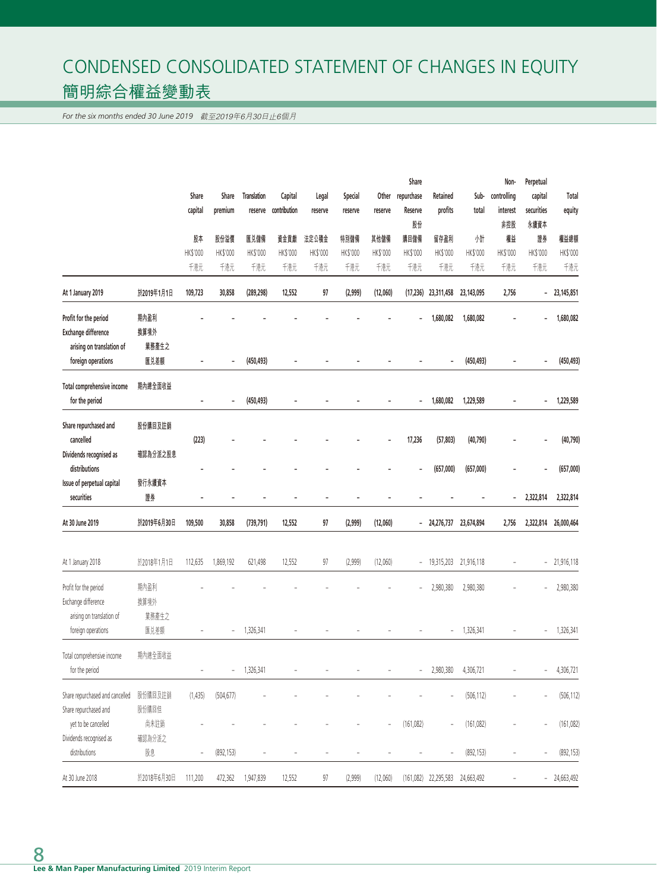# CONDENSED CONSOLIDATED STATEMENT OF CHANGES IN EQUITY 簡明綜合權益變動表

*For the six months ended 30 June 2019* 截至2019年6月30日止6個月

|                                 |             | Share<br>Share<br><b>Translation</b><br>Special<br>Other<br>Legal | Share          |            |              | Non-           | Perpetual      |                          |                          |                                   |            |                              |                          |               |
|---------------------------------|-------------|-------------------------------------------------------------------|----------------|------------|--------------|----------------|----------------|--------------------------|--------------------------|-----------------------------------|------------|------------------------------|--------------------------|---------------|
|                                 |             |                                                                   |                |            | Capital      |                |                |                          | repurchase               | Retained                          | Sub-       | controlling                  | capital                  | Total         |
|                                 |             | capital                                                           | premium        | reserve    | contribution | reserve        | reserve        | reserve                  | Reserve                  | profits                           | total      | interest                     | securities               | equity        |
|                                 |             |                                                                   |                |            |              |                |                |                          | 股份                       |                                   |            | 非控股                          | 永續資本                     |               |
|                                 |             | 股本                                                                | 股份溢價           | 匯兑儲備       | 資金貢獻         | 法定公積金          | 特別儲備           | 其他儲備                     | 購回儲備                     | 留存盈利                              | 州計         | 權益                           | 證券                       | 權益總額          |
|                                 |             | HK\$'000                                                          | HK\$'000       | HK\$'000   | HK\$'000     | HK\$'000       | HK\$'000       | HK\$'000                 | HK\$'000                 | HK\$'000                          | HK\$'000   | HK\$'000                     | HK\$'000                 | HK\$'000      |
|                                 |             | 千港元                                                               | 千港元            | 千港元        | 千港元          | 千港元            | 千港元            | 千港元                      | 千港元                      | 千港元                               | 千港元        | 千港元                          | 千港元                      | 千港元           |
| At 1 January 2019               | 於2019年1月1日  | 109,723                                                           | 30,858         | (289, 298) | 12,552       | 97             | (2,999)        | (12,060)                 | (17, 236)                | 23,311,458                        | 23,143,095 | 2,756                        | $\overline{\phantom{0}}$ | 23,145,851    |
| Profit for the period           | 期內盈利        |                                                                   |                |            |              |                |                |                          |                          | 1,680,082                         | 1,680,082  |                              |                          | 1,680,082     |
| <b>Exchange difference</b>      | 換算境外        |                                                                   |                |            |              |                |                |                          |                          |                                   |            |                              |                          |               |
| arising on translation of       | 業務產生之       |                                                                   |                |            |              |                |                |                          |                          |                                   |            |                              |                          |               |
| foreign operations              | 匯兑差額        |                                                                   |                | (450, 493) |              |                |                |                          |                          |                                   | (450, 493) |                              |                          | (450, 493)    |
| Total comprehensive income      | 期內總全面收益     |                                                                   |                |            |              |                |                |                          |                          |                                   |            |                              |                          |               |
| for the period                  |             |                                                                   |                | (450, 493) |              |                |                |                          | $\overline{\phantom{a}}$ | 1,680,082                         | 1,229,589  |                              |                          | 1,229,589     |
| Share repurchased and           | 股份購回及註銷     |                                                                   |                |            |              |                |                |                          |                          |                                   |            |                              |                          |               |
| cancelled                       |             | (223)                                                             |                |            |              |                |                |                          | 17,236                   | (57, 803)                         | (40, 790)  |                              |                          | (40, 790)     |
| Dividends recognised as         | 確認為分派之股息    |                                                                   |                |            |              |                |                |                          |                          |                                   |            |                              |                          |               |
| distributions                   |             |                                                                   |                |            |              |                |                |                          |                          | (657,000)                         | (657,000)  |                              |                          | (657,000)     |
| Issue of perpetual capital      | 發行永續資本      |                                                                   |                |            |              |                |                |                          |                          |                                   |            |                              |                          |               |
| securities                      | 證券          | ٠                                                                 |                |            |              | ۳              |                |                          |                          |                                   |            | $\qquad \qquad \blacksquare$ | 2,322,814                | 2,322,814     |
| At 30 June 2019                 | 於2019年6月30日 | 109,500                                                           | 30,858         | (739, 791) | 12,552       | 97             | (2,999)        | (12,060)                 | $\overline{\phantom{a}}$ | 24,276,737                        | 23,674,894 | 2,756                        | 2,322,814                | 26,000,464    |
| At 1 January 2018               | 於2018年1月1日  | 112,635                                                           | 1,869,192      | 621,498    | 12,552       | 97             | (2,999)        | (12,060)                 | $\overline{\phantom{a}}$ | 19,315,203                        | 21,916,118 | ÷                            |                          | $-21,916,118$ |
|                                 |             |                                                                   |                |            |              |                |                |                          |                          |                                   |            |                              |                          |               |
| Profit for the period           | 期內盈利        |                                                                   |                |            |              |                |                |                          |                          | 2,980,380                         | 2,980,380  |                              |                          | 2,980,380     |
| Exchange difference             | 換算境外        |                                                                   |                |            |              |                |                |                          |                          |                                   |            |                              |                          |               |
| arising on translation of       | 業務產生之       |                                                                   |                |            |              |                |                |                          |                          |                                   |            |                              |                          |               |
| foreign operations              | 匯兑差額        |                                                                   | $\overline{a}$ | 1,326,341  |              |                |                |                          |                          |                                   | 1,326,341  |                              |                          | 1,326,341     |
| Total comprehensive income      | 期內總全面收益     |                                                                   |                |            |              |                |                |                          |                          |                                   |            |                              |                          |               |
| for the period                  |             |                                                                   |                | 1,326,341  |              |                |                |                          |                          | 2,980,380                         | 4,306,721  |                              |                          | 4,306,721     |
| Share repurchased and cancelled | 股份購回及註銷     | (1,435)                                                           | (504, 677)     |            |              |                |                |                          |                          |                                   | (506, 112) |                              |                          | (506, 112)    |
| Share repurchased and           | 股份購回但       |                                                                   |                |            |              |                |                |                          |                          |                                   |            |                              |                          |               |
| yet to be cancelled             | 尚未註銷        |                                                                   |                |            |              |                |                | $\overline{\phantom{a}}$ | (161, 082)               |                                   | (161, 082) |                              |                          | (161, 082)    |
| Dividends recognised as         | 確認為分派之      |                                                                   |                |            |              |                |                |                          |                          |                                   |            |                              |                          |               |
| distributions                   | 股息          | $\overline{a}$                                                    | (892, 153)     |            |              | $\overline{a}$ | $\overline{a}$ |                          | $\qquad \qquad -$        |                                   | (892, 153) | $\qquad \qquad -$            |                          | (892, 153)    |
| At 30 June 2018                 | 於2018年6月30日 | 111,200                                                           | 472,362        | 1,947,839  | 12,552       | 97             | (2,999)        | (12,060)                 |                          | $(161,082)$ 22,295,583 24,663,492 |            | -                            |                          | $-24,663,492$ |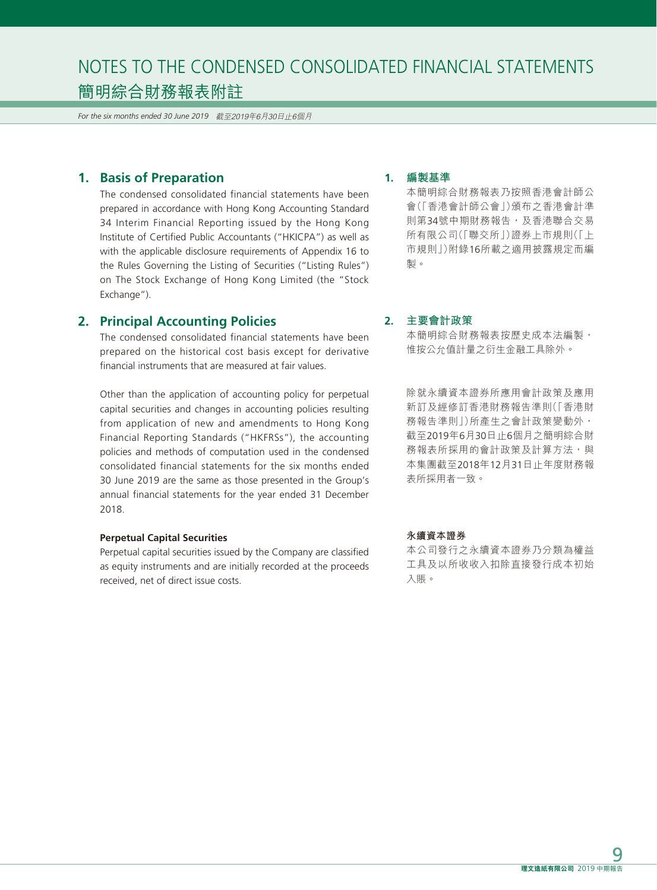*For the six months ended 30 June 2019* 截至2019年6月30日止6個月

# **1. Basis of Preparation**

The condensed consolidated financial statements have been prepared in accordance with Hong Kong Accounting Standard 34 Interim Financial Reporting issued by the Hong Kong Institute of Certified Public Accountants ("HKICPA") as well as with the applicable disclosure requirements of Appendix 16 to the Rules Governing the Listing of Securities ("Listing Rules") on The Stock Exchange of Hong Kong Limited (the "Stock Exchange").

# **2. Principal Accounting Policies**

The condensed consolidated financial statements have been prepared on the historical cost basis except for derivative financial instruments that are measured at fair values.

Other than the application of accounting policy for perpetual capital securities and changes in accounting policies resulting from application of new and amendments to Hong Kong Financial Reporting Standards ("HKFRSs"), the accounting policies and methods of computation used in the condensed consolidated financial statements for the six months ended 30 June 2019 are the same as those presented in the Group's annual financial statements for the year ended 31 December 2018.

#### **Perpetual Capital Securities**

Perpetual capital securities issued by the Company are classified as equity instruments and are initially recorded at the proceeds received, net of direct issue costs.

#### **1. 編製基準**

本簡明綜合財務報表乃按照香港會計師公 會(「香港會計師公會」)頒布之香港會計準 則第34號中期財務報告,及香港聯合交易 所有限公司(「聯交所」)證券上市規則(「上 市規則」)附錄16所載之適用披露規定而編 製。

### **2. 主要會計政策**

本簡明綜合財務報表按歷史成本法編製, 惟按公允值計量之衍生金融工具除外。

除就永續資本證券所應用會計政策及應用 新訂及經修訂香港財務報告準則(「香港財 務報告準則」)所產生之會計政策變動外, 截至2019年6月30日止6個月之簡明綜合財 務報表所採用的會計政策及計算方法,與 本集團截至2018年12月31日止年度財務報 表所採用者一致。

#### **永續資本證券**

本公司發行之永續資本證券乃分類為權益 工具及以所收收入扣除直接發行成本初始 入賬。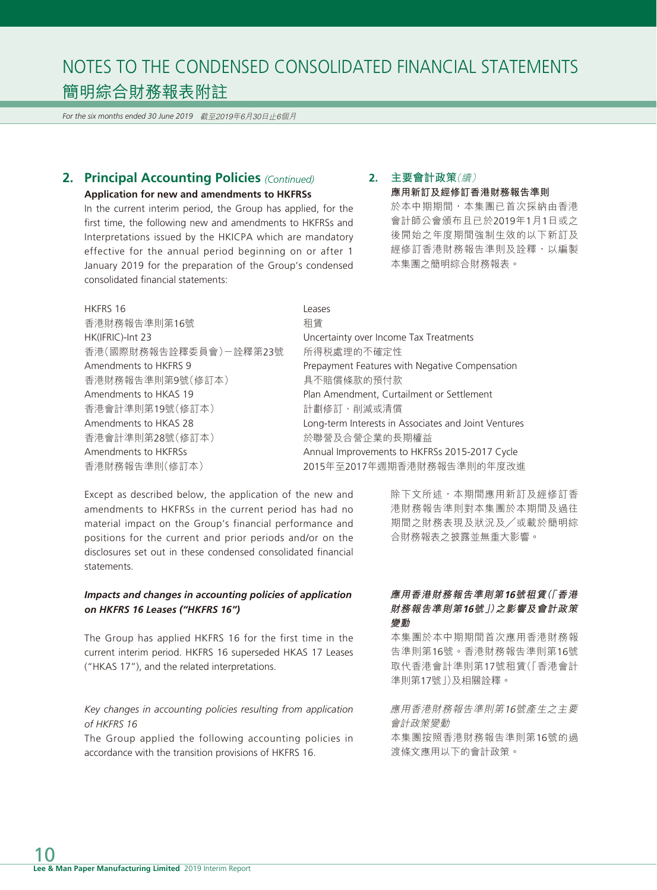*For the six months ended 30 June 2019* 截至2019年6月30日止6個月

# **2. Principal Accounting Policies** *(Continued)*

#### **Application for new and amendments to HKFRSs**

In the current interim period, the Group has applied, for the first time, the following new and amendments to HKFRSs and Interpretations issued by the HKICPA which are mandatory effective for the annual period beginning on or after 1 January 2019 for the preparation of the Group's condensed consolidated financial statements:

# **2. 主要會計政策**(續) **應用新訂及經修訂香港財務報告準則**

於本中期期間,本集團已首次採納由香港 會計師公會頒布且已於2019年1月1日或之 後開始之年度期間強制生效的以下新訂及 經修訂香港財務報告準則及詮釋,以編製 本集團之簡明綜合財務報表。

| HKFRS 16               | Leases            |
|------------------------|-------------------|
| 香港財務報告準則第16號           | 和賃                |
| HK(IFRIC)-Int 23       | Uncert            |
| 香港(國際財務報告詮釋委員會)ー詮釋第23號 | 所得秒               |
| Amendments to HKFRS 9  | Prepay            |
| 香港財務報告準則第9號(修訂本)       | 具不賠               |
| Amendments to HKAS 19  | Plan A            |
| 香港會計準則第19號(修訂本)        | 計劃修               |
| Amendments to HKAS 28  | Long-t            |
| 香港會計準則第28號(修訂本)        | 於聯營               |
| Amendments to HKFRSs   | Annua             |
| 香港財務報告準則(修訂本)          | 2015 <sup>£</sup> |

Incertainty over Income Tax Treatments 所得税處理的不確定性 repayment Features with Negative Compensation し不賠償條款的預付款 lan Amendment, Curtailment or Settlement 香港會計準則第19號(修訂本) 計劃修訂、削減或清償 ong-term Interests in Associates and Joint Ventures 香港會計準則第28號(修訂本) 於聯營及合營企業的長期權益 Annual Improvements to HKFRSs 2015-2017 Cycle (015年至2017年週期香港財務報告準則的年度改進

Except as described below, the application of the new and amendments to HKFRSs in the current period has had no material impact on the Group's financial performance and positions for the current and prior periods and/or on the disclosures set out in these condensed consolidated financial statements.

#### *Impacts and changes in accounting policies of application on HKFRS 16 Leases ("HKFRS 16")*

The Group has applied HKFRS 16 for the first time in the current interim period. HKFRS 16 superseded HKAS 17 Leases ("HKAS 17"), and the related interpretations.

#### *Key changes in accounting policies resulting from application of HKFRS 16*

The Group applied the following accounting policies in accordance with the transition provisions of HKFRS 16.

# 港財務報告準則對本集團於本期間及過往 期間之財務表現及狀況及╱或載於簡明綜 合財務報表之披露並無重大影響。

除下文所述,本期間應用新訂及經修訂香

## **應用香港財務報告準則第16號租賃(「香港 財務報告準則第16號」)之影響及會計政策 變動**

本集團於本中期期間首次應用香港財務報 告準則第16號。香港財務報告準則第16號 取代香港會計準則第17號租賃(「香港會計 準則第17號」)及相關詮釋。

應用香港財務報告準則第16號產生之主要 會計政策變動 本集團按照香港財務報告準則第16號的過

渡條文應用以下的會計政策。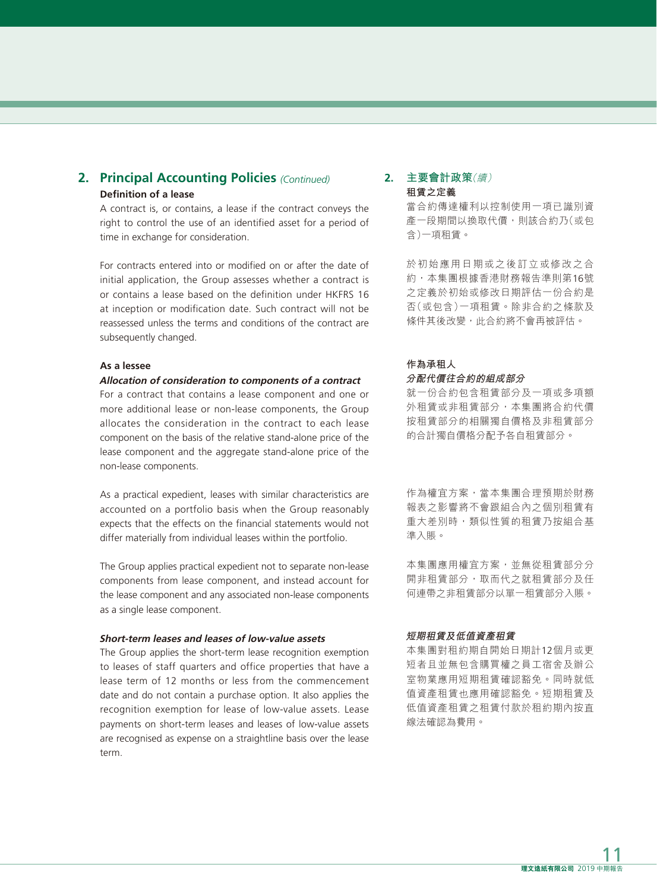# **2. Principal Accounting Policies** *(Continued)* **Definition of a lease**

A contract is, or contains, a lease if the contract conveys the right to control the use of an identified asset for a period of time in exchange for consideration.

For contracts entered into or modified on or after the date of initial application, the Group assesses whether a contract is or contains a lease based on the definition under HKFRS 16 at inception or modification date. Such contract will not be reassessed unless the terms and conditions of the contract are subsequently changed.

#### **As a lessee**

#### **Allocation of consideration to components of a contract**

For a contract that contains a lease component and one or more additional lease or non-lease components, the Group allocates the consideration in the contract to each lease component on the basis of the relative stand-alone price of the lease component and the aggregate stand-alone price of the non-lease components.

As a practical expedient, leases with similar characteristics are accounted on a portfolio basis when the Group reasonably expects that the effects on the financial statements would not differ materially from individual leases within the portfolio.

The Group applies practical expedient not to separate non-lease components from lease component, and instead account for the lease component and any associated non-lease components as a single lease component.

#### **Short-term leases and leases of low-value assets**

The Group applies the short-term lease recognition exemption to leases of staff quarters and office properties that have a lease term of 12 months or less from the commencement date and do not contain a purchase option. It also applies the recognition exemption for lease of low-value assets. Lease payments on short-term leases and leases of low-value assets are recognised as expense on a straightline basis over the lease term.

### **2. 主要會計政策**(續) **租賃之定義**

當合約傳達權利以控制使用一項已識別資 產一段期間以換取代價,則該合約乃(或包 含)一項租賃。

於初始應用日期或之後訂立或修改之合 約,本集團根據香港財務報告準則第16號 之定義於初始或修改日期評估一份合約是 否(或包含)一項租賃。除非合約之條款及 條件其後改變,此合約將不會再被評估。

#### **作為承租人 分配代價往合約的組成部分**

就一份合約包含租賃部分及一項或多項額 外租賃或非租賃部分,本集團將合約代價 按租賃部分的相關獨自價格及非租賃部分 的合計獨自價格分配予各自租賃部分。

作為權宜方案,當本集團合理預期於財務 報表之影響將不會跟組合內之個別租賃有 重大差別時,類似性質的租賃乃按組合基 準入賬。

本集團應用權宜方案,並無從租賃部分分 開非租賃部分,取而代之就租賃部分及任 何連帶之非租賃部分以單一租賃部分入賬。

#### **短期租賃及低值資產租賃**

本集團對租約期自開始日期計12個月或更 短者且並無包含購買權之員工宿舍及辦公 室物業應用短期租賃確認豁免。同時就低 值資產租賃也應用確認豁免。短期租賃及 低值資產租賃之租賃付款於租約期內按直 線法確認為費用。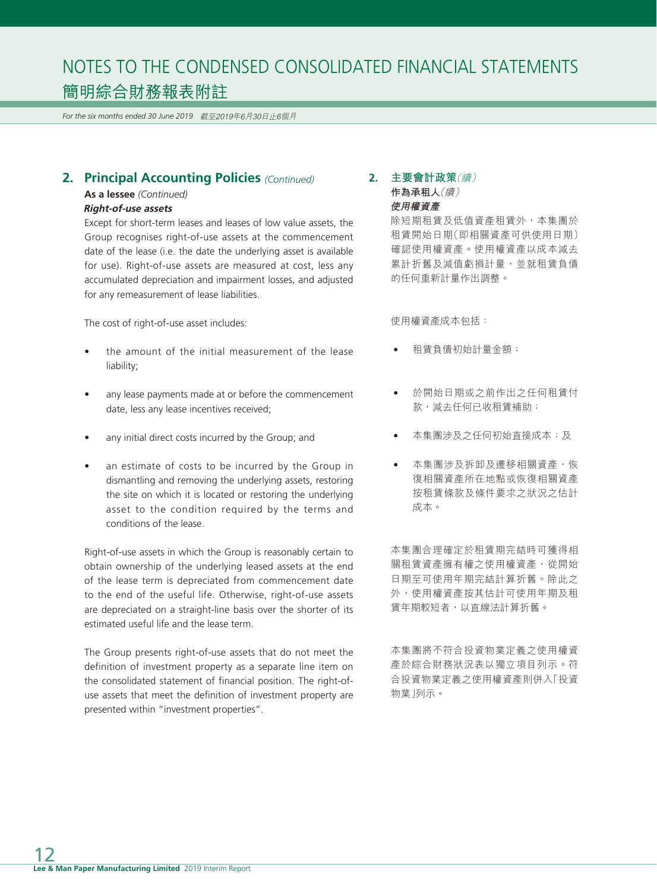*For the six months ended 30 June 2019* 截至2019年6月30日止6個月

# **2. Principal Accounting Policies** *(Continued)*

**As a lessee** *(Continued)*

#### **Right-of-use assets**

Except for short-term leases and leases of low value assets, the Group recognises right-of-use assets at the commencement date of the lease (i.e. the date the underlying asset is available for use). Right-of-use assets are measured at cost, less any accumulated depreciation and impairment losses, and adjusted for any remeasurement of lease liabilities.

The cost of right-of-use asset includes:

- the amount of the initial measurement of the lease liability;
- any lease payments made at or before the commencement date, less any lease incentives received;
- any initial direct costs incurred by the Group; and
- an estimate of costs to be incurred by the Group in dismantling and removing the underlying assets, restoring the site on which it is located or restoring the underlying asset to the condition required by the terms and conditions of the lease.

Right-of-use assets in which the Group is reasonably certain to obtain ownership of the underlying leased assets at the end of the lease term is depreciated from commencement date to the end of the useful life. Otherwise, right-of-use assets are depreciated on a straight-line basis over the shorter of its estimated useful life and the lease term.

The Group presents right-of-use assets that do not meet the definition of investment property as a separate line item on the consolidated statement of financial position. The right-ofuse assets that meet the definition of investment property are presented within "investment properties".

# **2. 主要會計政策**(續) **作為承租人**(續) **使用權資產**

除短期租賃及低值資產租賃外,本集團於 租賃開始日期(即相關資產可供使用日期) 確認使用權資產。使用權資產以成本減去 累計折舊及減值虧損計量,並就租賃負債 的任何重新計量作出調整。

使用權資產成本包括:

- 租賃負債初始計量金額;
- 於開始日期或之前作出之任何租賃付 款,減去任何已收租賃補助;
- 本集團涉及之任何初始直接成本;及
- 本集團涉及拆卸及遷移相關資產,恢 復相關資產所在地點或恢復相關資產 按租賃條款及條件要求之狀況之估計 成本。

本集團合理確定於租賃期完結時可獲得相 關租賃資產擁有權之使用權資產,從開始 日期至可使用年期完結計算折舊。除此之 外,使用權資產按其估計可使用年期及租 賃年期較短者,以直線法計算折舊。

本集團將不符合投資物業定義之使用權資 產於綜合財務狀況表以獨立項目列示。符 合投資物業定義之使用權資產則併入「投資 物業」列示。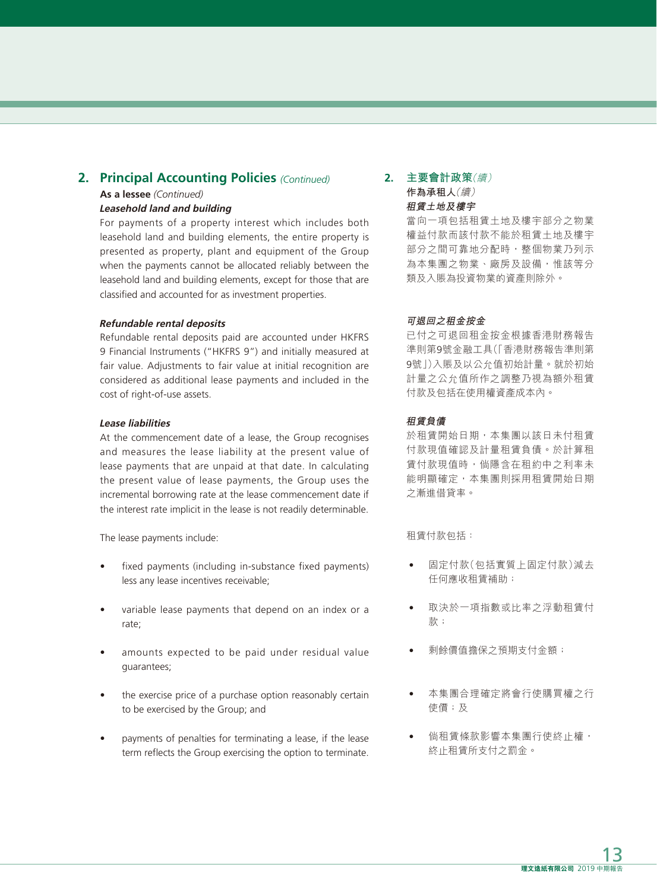# **2. Principal Accounting Policies** *(Continued)*

#### **As a lessee** *(Continued)*

#### **Leasehold land and building**

For payments of a property interest which includes both leasehold land and building elements, the entire property is presented as property, plant and equipment of the Group when the payments cannot be allocated reliably between the leasehold land and building elements, except for those that are classified and accounted for as investment properties.

#### **Refundable rental deposits**

Refundable rental deposits paid are accounted under HKFRS 9 Financial Instruments ("HKFRS 9") and initially measured at fair value. Adjustments to fair value at initial recognition are considered as additional lease payments and included in the cost of right-of-use assets.

#### **Lease liabilities**

At the commencement date of a lease, the Group recognises and measures the lease liability at the present value of lease payments that are unpaid at that date. In calculating the present value of lease payments, the Group uses the incremental borrowing rate at the lease commencement date if the interest rate implicit in the lease is not readily determinable.

The lease payments include:

- fixed payments (including in-substance fixed payments) less any lease incentives receivable;
- variable lease payments that depend on an index or a rate;
- amounts expected to be paid under residual value guarantees;
- the exercise price of a purchase option reasonably certain to be exercised by the Group; and
- payments of penalties for terminating a lease, if the lease term reflects the Group exercising the option to terminate.

# **2. 主要會計政策**(續) **作為承租人**(續) **租賃土地及樓宇**

當向一項包括租賃土地及樓宇部分之物業 權益付款而該付款不能於租賃土地及樓宇 部分之間可靠地分配時,整個物業乃列示 為本集團之物業、廠房及設備,惟該等分 類及入賬為投資物業的資產則除外。

#### **可退回之租金按金**

已付之可退回租金按金根據香港財務報告 準則第9號金融工具(「香港財務報告準則第 9號」)入賬及以公允值初始計量。就於初始 計量之公允值所作之調整乃視為額外租賃 付款及包括在使用權資產成本內。

#### **租賃負債**

於租賃開始日期,本集團以該日未付租賃 付款現值確認及計量租賃負債。於計算租 賃付款現值時,倘隱含在租約中之利率未 能明顯確定,本集團則採用租賃開始日期 之漸進借貸率。

租賃付款包括:

- 固定付款(包括實質上固定付款)減去 任何應收租賃補助;
- 取決於一項指數或比率之浮動租賃付 款;
- 剩餘價值擔保之預期支付金額;
- 本集團合理確定將會行使購買權之行 使價;及
- 倘租賃條款影響本集團行使終止權, 終止租賃所支付之罰金。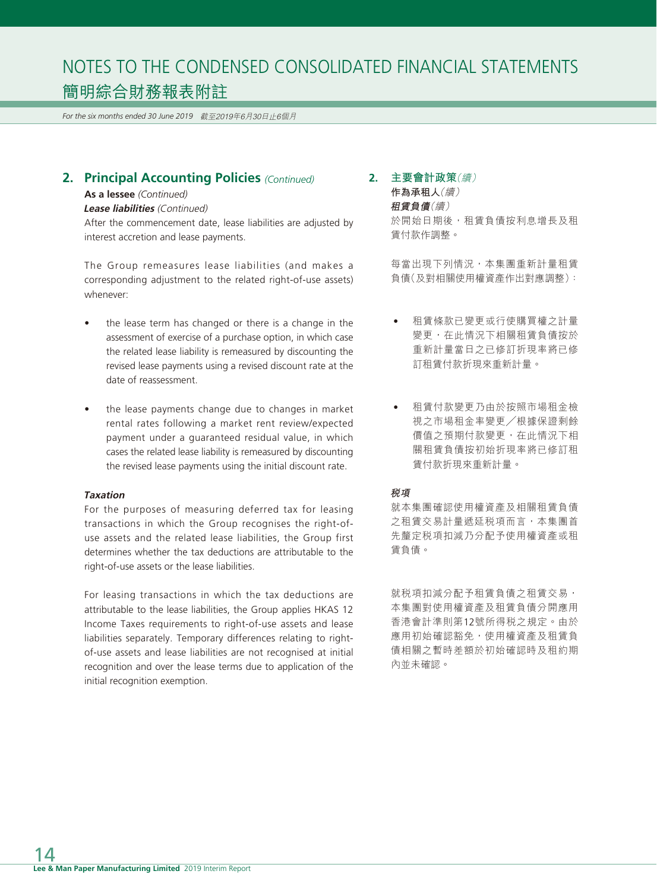*For the six months ended 30 June 2019* 截至2019年6月30日止6個月

# **2. Principal Accounting Policies** *(Continued)*

#### **As a lessee** *(Continued)*

#### **Lease liabilities** (Continued)

After the commencement date, lease liabilities are adjusted by interest accretion and lease payments.

The Group remeasures lease liabilities (and makes a corresponding adjustment to the related right-of-use assets) whenever:

- the lease term has changed or there is a change in the assessment of exercise of a purchase option, in which case the related lease liability is remeasured by discounting the revised lease payments using a revised discount rate at the date of reassessment.
- the lease payments change due to changes in market rental rates following a market rent review/expected payment under a guaranteed residual value, in which cases the related lease liability is remeasured by discounting the revised lease payments using the initial discount rate.

#### **Taxation**

For the purposes of measuring deferred tax for leasing transactions in which the Group recognises the right-ofuse assets and the related lease liabilities, the Group first determines whether the tax deductions are attributable to the right-of-use assets or the lease liabilities.

For leasing transactions in which the tax deductions are attributable to the lease liabilities, the Group applies HKAS 12 Income Taxes requirements to right-of-use assets and lease liabilities separately. Temporary differences relating to rightof-use assets and lease liabilities are not recognised at initial recognition and over the lease terms due to application of the initial recognition exemption.

# **2. 主要會計政策**(續)

**作為承租人**(續) **租賃負債**(續) 於開始日期後,租賃負債按利息增長及租 賃付款作調整。

每當出現下列情況,本集團重新計量租賃 負債(及對相關使用權資產作出對應調整):

- 租賃條款已變更或行使購買權之計量 變更,在此情況下相關租賃負債按於 重新計量當日之已修訂折現率將已修 訂租賃付款折現來重新計量。
- 租賃付款變更乃由於按照市場租金檢 視之市場租金率變更╱根據保證剩餘 價值之預期付款變更,在此情況下相 關租賃負債按初始折現率將已修訂租 賃付款折現來重新計量。

#### **稅項**

就本集團確認使用權資產及相關租賃負債 之租賃交易計量遞延税項而言,本集團首 先釐定税項扣減乃分配予使用權資產或租 賃負債。

就税項扣減分配予租賃負債之租賃交易, 本集團對使用權資產及租賃負債分開應用 香港會計準則第12號所得稅之規定。由於 應用初始確認豁免,使用權資產及租賃負 債相關之暫時差額於初始確認時及租約期 內並未確認。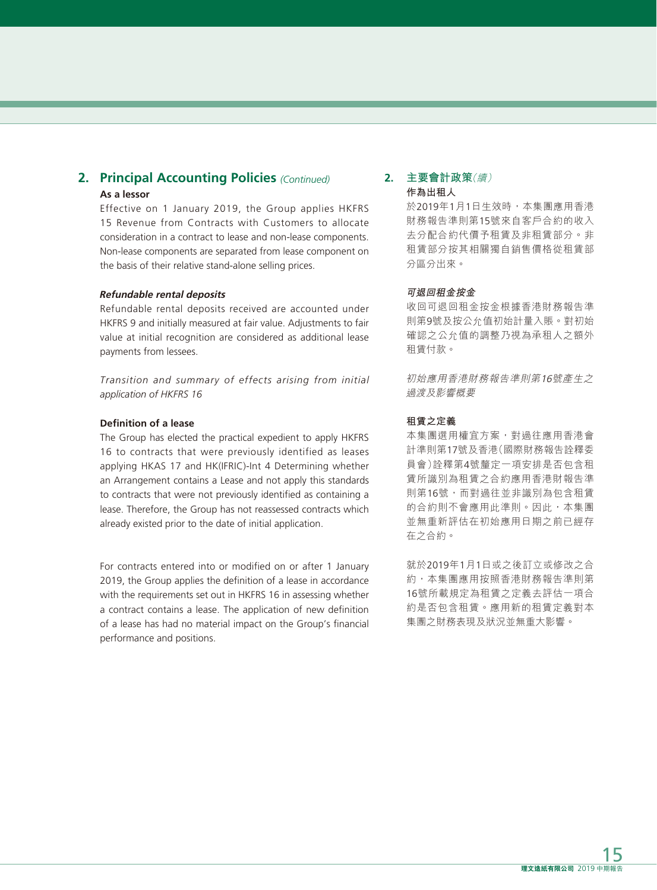# **2. Principal Accounting Policies** *(Continued)* **As a lessor**

Effective on 1 January 2019, the Group applies HKFRS 15 Revenue from Contracts with Customers to allocate consideration in a contract to lease and non-lease components. Non-lease components are separated from lease component on the basis of their relative stand-alone selling prices.

#### **Refundable rental deposits**

Refundable rental deposits received are accounted under HKFRS 9 and initially measured at fair value. Adjustments to fair value at initial recognition are considered as additional lease payments from lessees.

*Transition and summary of effects arising from initial application of HKFRS 16*

#### **Definition of a lease**

The Group has elected the practical expedient to apply HKFRS 16 to contracts that were previously identified as leases applying HKAS 17 and HK(IFRIC)-Int 4 Determining whether an Arrangement contains a Lease and not apply this standards to contracts that were not previously identified as containing a lease. Therefore, the Group has not reassessed contracts which already existed prior to the date of initial application.

For contracts entered into or modified on or after 1 January 2019, the Group applies the definition of a lease in accordance with the requirements set out in HKFRS 16 in assessing whether a contract contains a lease. The application of new definition of a lease has had no material impact on the Group's financial performance and positions.

### **2. 主要會計政策**(續) **作為出租人**

於2019年1月1日生效時,本集團應用香港 財務報告準則第15號來自客戶合約的收入 去分配合約代價予租賃及非租賃部分。非 租賃部分按其相關獨自銷售價格從租賃部 分區分出來。

#### **可退回租金按金**

收回可退回租金按金根據香港財務報告準 則第9號及按公允值初始計量入賬。對初始 確認之公允值的調整乃視為承租人之額外 租賃付款。

初始應用香港財務報告準則第16號產生之 過渡及影響概要

#### **租賃之定義**

本集團選用權宜方案,對過往應用香港會 計準則第17號及香港(國際財務報告詮釋委 員會)詮釋第4號釐定一項安排是否包含租 賃所識別為租賃之合約應用香港財報告準 則第16號,而對過往並非識別為包含租賃 的合約則不會應用此準則。因此,本集團 並無重新評估在初始應用日期之前已經存 在之合約。

就於2019年1月1日或之後訂立或修改之合 約,本集團應用按照香港財務報告準則第 16號所載規定為租賃之定義去評估一項合 約是否包含租賃。應用新的租賃定義對本 集團之財務表現及狀況並無重大影響。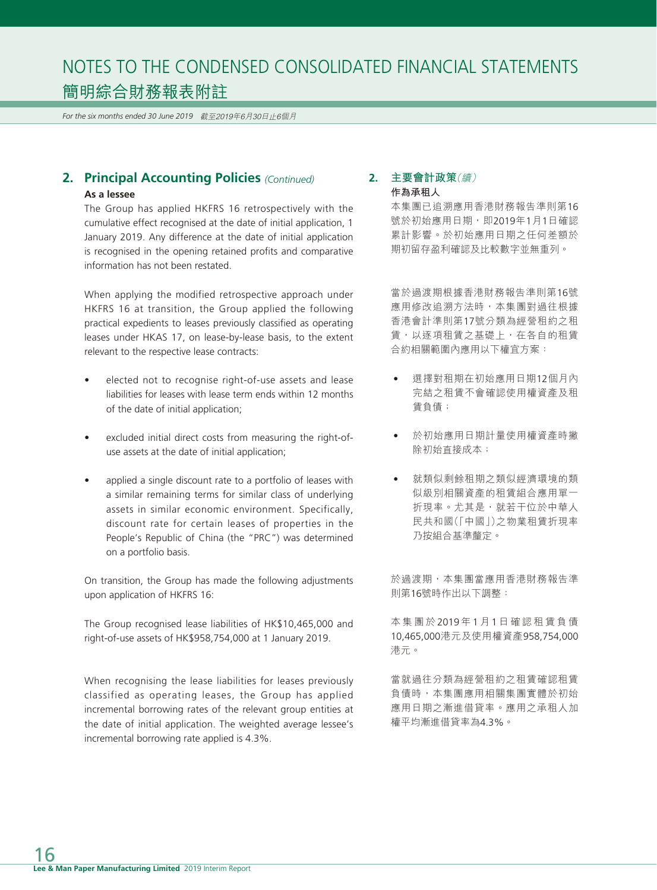*For the six months ended 30 June 2019* 截至2019年6月30日止6個月

# **2. Principal Accounting Policies** *(Continued)* **As a lessee**

The Group has applied HKFRS 16 retrospectively with the cumulative effect recognised at the date of initial application, 1 January 2019. Any difference at the date of initial application is recognised in the opening retained profits and comparative information has not been restated.

When applying the modified retrospective approach under HKFRS 16 at transition, the Group applied the following practical expedients to leases previously classified as operating leases under HKAS 17, on lease-by-lease basis, to the extent relevant to the respective lease contracts:

- elected not to recognise right-of-use assets and lease liabilities for leases with lease term ends within 12 months of the date of initial application;
- excluded initial direct costs from measuring the right-ofuse assets at the date of initial application;
- applied a single discount rate to a portfolio of leases with a similar remaining terms for similar class of underlying assets in similar economic environment. Specifically, discount rate for certain leases of properties in the People's Republic of China (the "PRC") was determined on a portfolio basis.

On transition, the Group has made the following adjustments upon application of HKFRS 16:

The Group recognised lease liabilities of HK\$10,465,000 and right-of-use assets of HK\$958,754,000 at 1 January 2019.

When recognising the lease liabilities for leases previously classified as operating leases, the Group has applied incremental borrowing rates of the relevant group entities at the date of initial application. The weighted average lessee's incremental borrowing rate applied is 4.3%.

# **2. 主要會計政策**(續) **作為承租人**

本集團已追溯應用香港財務報告準則第16 號於初始應用日期,即2019年1月1日確認 累計影響。於初始應用日期之任何差額於 期初留存盈利確認及比較數字並無重列。

當於過渡期根據香港財務報告準則第16號 應用修改追溯方法時,本集團對過往根據 香港會計準則第17號分類為經營租約之租 賃,以逐項租賃之基礎上,在各自的租賃 合約相關範圍內應用以下權宜方案:

- 選擇對租期在初始應用日期12個月內 完結之租賃不會確認使用權資產及租 賃負債;
- 於初始應用日期計量使用權資產時撇 除初始直接成本;
- 就類似剩餘租期之類似經濟環境的類 似級別相關資產的租賃組合應用單一 折現率。尤其是,就若干位於中華人 民共和國(「中國」)之物業租賃折現率 乃按組合基準釐定。

於過渡期,本集團當應用香港財務報告準 則第16號時作出以下調整:

本集團於 2019 年 1 月 1 日確認租賃負債 10,465,000港元及使用權資產958,754,000 港元。

當就過往分類為經營租約之租賃確認租賃 負債時,本集團應用相關集團實體於初始 應用日期之漸進借貸率。應用之承租人加 權平均漸進借貸率為4.3%。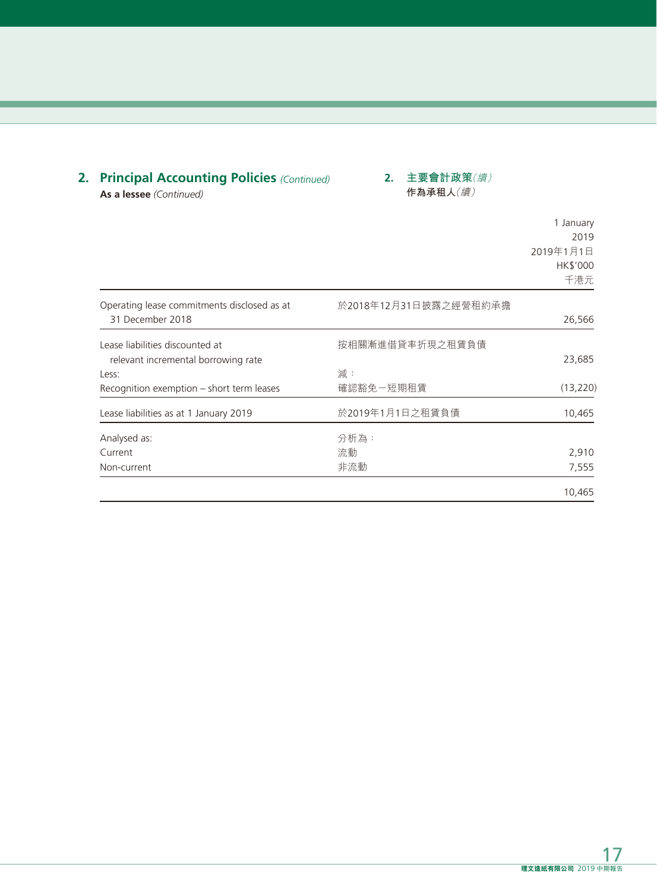# **2. Principal Accounting Policies** *(Continued)*

Operating lease commitments disclosed as at

**2. 主要會計政策**(續) **作為承租人**(續)

**As a lessee** *(Continued)*

# 1 January 2019 2019年1月1日 HK\$'000 千港元 於2018年12月31日披露之經營租約承擔

| 31 December 2018                          |                 | 26,566    |
|-------------------------------------------|-----------------|-----------|
| Lease liabilities discounted at           | 按相關漸進借貸率折現之租賃負債 |           |
| relevant incremental borrowing rate       |                 | 23,685    |
| Less:                                     | 減:              |           |
| Recognition exemption – short term leases | 確認豁免-短期租賃       | (13, 220) |
| Lease liabilities as at 1 January 2019    | 於2019年1月1日之租賃負債 | 10,465    |
| Analysed as:                              | 分析為:            |           |
| Current                                   | 流動              | 2,910     |
| Non-current                               | 非流動             | 7,555     |
|                                           |                 | 10.465    |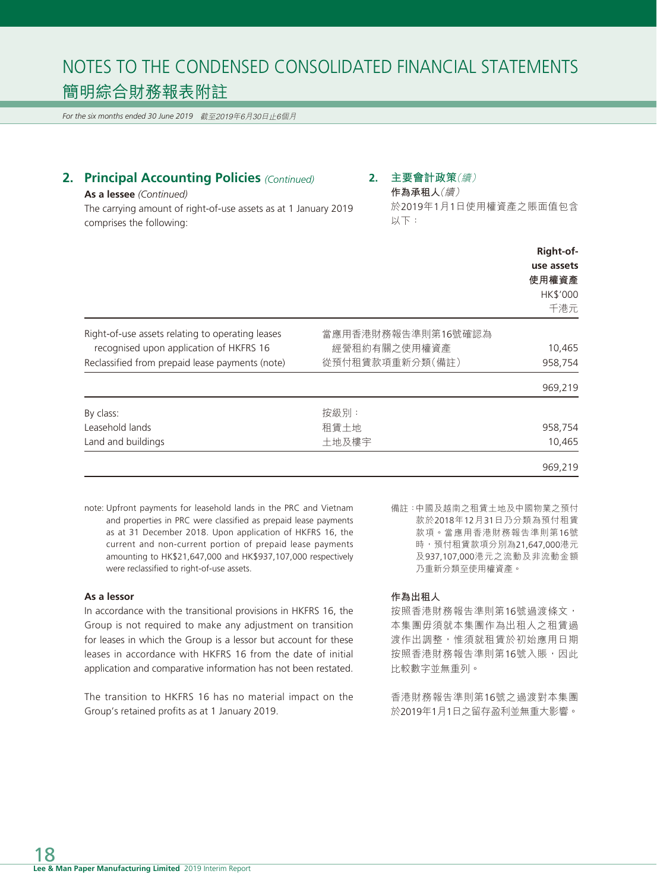*For the six months ended 30 June 2019* 截至2019年6月30日止6個月

# **2. Principal Accounting Policies** *(Continued)*

### **As a lessee** *(Continued)*

The carrying amount of right-of-use assets as at 1 January 2019 comprises the following:

# **2. 主要會計政策**(續)

**作為承租人**(續) 於2019年1月1日使用權資產之賬面值包含 以下:

|                                                  |                    | Right-of-<br>use assets<br>使用權資產<br>HK\$'000<br>千港元 |
|--------------------------------------------------|--------------------|-----------------------------------------------------|
| Right-of-use assets relating to operating leases | 當應用香港財務報告準則第16號確認為 |                                                     |
| recognised upon application of HKFRS 16          | 經營租約有關之使用權資產       | 10,465                                              |
| Reclassified from prepaid lease payments (note)  | 從預付租賃款項重新分類(備註)    | 958,754                                             |
|                                                  |                    | 969,219                                             |
| By class:                                        | 按級別:               |                                                     |
| Leasehold lands                                  | 租賃土地               | 958,754                                             |
| Land and buildings                               | 土地及樓宇              | 10,465                                              |
|                                                  |                    | 969,219                                             |

note: Upfront payments for leasehold lands in the PRC and Vietnam and properties in PRC were classified as prepaid lease payments as at 31 December 2018. Upon application of HKFRS 16, the current and non-current portion of prepaid lease payments amounting to HK\$21,647,000 and HK\$937,107,000 respectively were reclassified to right-of-use assets.

#### **As a lessor**

In accordance with the transitional provisions in HKFRS 16, the Group is not required to make any adjustment on transition for leases in which the Group is a lessor but account for these leases in accordance with HKFRS 16 from the date of initial application and comparative information has not been restated.

The transition to HKFRS 16 has no material impact on the Group's retained profits as at 1 January 2019.

備註:中國及越南之租賃土地及中國物業之預付 款於2018年12月31日乃分類為預付租賃 款項。當應用香港財務報告準則第16號 時,預付租賃款項分別為21,647,000港元 及937,107,000港元之流動及非流動金額 乃重新分類至使用權資產。

#### **作為出租人**

按照香港財務報告準則第16號過渡條文, 本集團毋須就本集團作為出租人之租賃過 渡作出調整,惟須就租賃於初始應用日期 按照香港財務報告準則第16號入賬,因此 比較數字並無重列。

香港財務報告準則第16號之過渡對本集團 於2019年1月1日之留存盈利並無重大影響。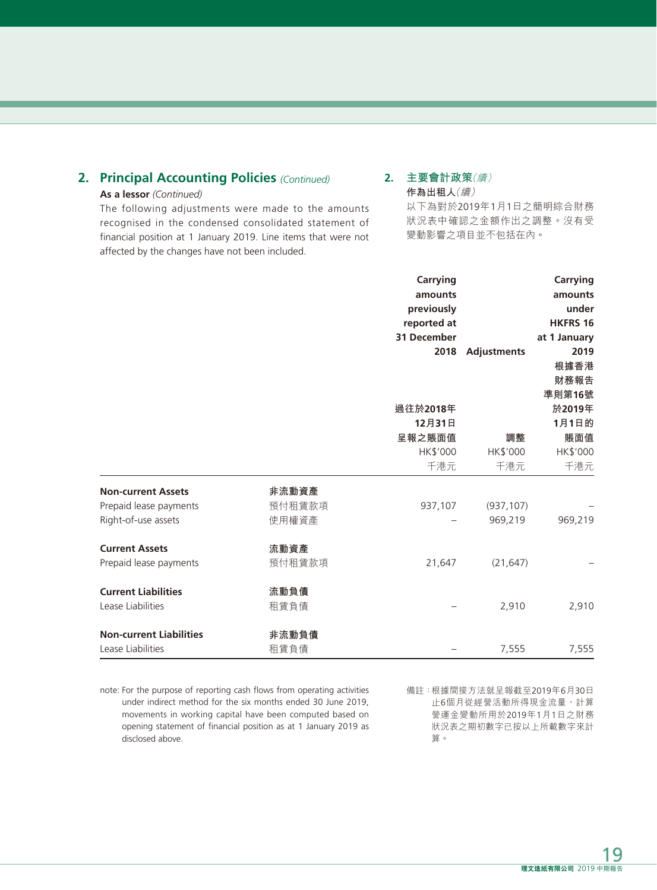# **2. Principal Accounting Policies** *(Continued)*

# **As a lessor** *(Continued)*

The following adjustments were made to the amounts recognised in the condensed consolidated statement of financial position at 1 January 2019. Line items that were not affected by the changes have not been included.

# **2. 主要會計政策**(續) **作為出租人**(續)

以下為對於2019年1月1日之簡明綜合財務 狀況表中確認之金額作出之調整。沒有受 變動影響之項目並不包括在內。

|                                |        | Carrying<br>amounts<br>previously<br>reported at |                    | <b>Carrying</b><br>amounts<br>under<br><b>HKFRS 16</b> |
|--------------------------------|--------|--------------------------------------------------|--------------------|--------------------------------------------------------|
|                                |        | <b>31 December</b>                               |                    | at 1 January                                           |
|                                |        | 2018                                             | <b>Adjustments</b> | 2019                                                   |
|                                |        |                                                  |                    | 根據香港                                                   |
|                                |        |                                                  |                    | 財務報告<br>準則第16號                                         |
|                                |        | 過往於2018年                                         |                    | 於2019年                                                 |
|                                |        | 12月31日                                           |                    | 1月1日的                                                  |
|                                |        | 呈報之賬面值                                           | 調整                 | 賬面值                                                    |
|                                |        | HK\$'000                                         | HK\$'000           | HK\$'000                                               |
|                                |        | 千港元                                              | 千港元                | 千港元                                                    |
| <b>Non-current Assets</b>      | 非流動資產  |                                                  |                    |                                                        |
| Prepaid lease payments         | 預付租賃款項 | 937,107                                          | (937, 107)         |                                                        |
| Right-of-use assets            | 使用權資產  |                                                  | 969,219            | 969,219                                                |
| <b>Current Assets</b>          | 流動資產   |                                                  |                    |                                                        |
| Prepaid lease payments         | 預付租賃款項 | 21,647                                           | (21, 647)          |                                                        |
| <b>Current Liabilities</b>     | 流動負債   |                                                  |                    |                                                        |
| Lease Liabilities              | 租賃負債   |                                                  | 2,910              | 2,910                                                  |
| <b>Non-current Liabilities</b> | 非流動負債  |                                                  |                    |                                                        |
| Lease Liabilities              | 租賃負債   |                                                  | 7,555              | 7,555                                                  |

note: For the purpose of reporting cash flows from operating activities under indirect method for the six months ended 30 June 2019, movements in working capital have been computed based on opening statement of financial position as at 1 January 2019 as disclosed above.

備註:根據間接方法就呈報截至2019年6月30日 止6個月從經營活動所得現金流量,計算 營運金變動所用於2019年1月1日之財務 狀況表之期初數字已按以上所載數字來計 算。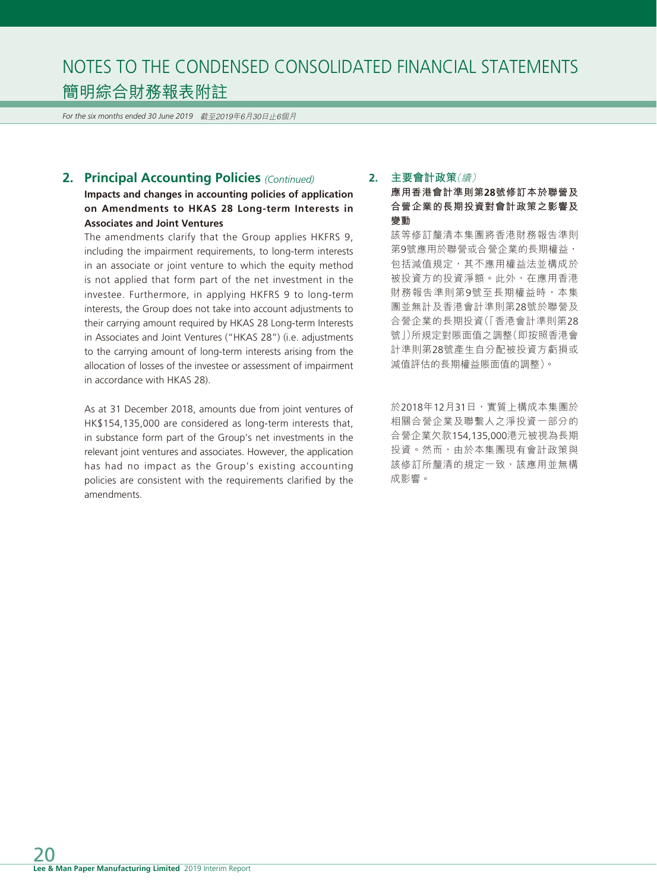*For the six months ended 30 June 2019* 截至2019年6月30日止6個月

# **2. Principal Accounting Policies** *(Continued)*

# **Impacts and changes in accounting policies of application on Amendments to HKAS 28 Long-term Interests in Associates and Joint Ventures**

The amendments clarify that the Group applies HKFRS 9, including the impairment requirements, to long-term interests in an associate or joint venture to which the equity method is not applied that form part of the net investment in the investee. Furthermore, in applying HKFRS 9 to long-term interests, the Group does not take into account adjustments to their carrying amount required by HKAS 28 Long-term Interests in Associates and Joint Ventures ("HKAS 28") (i.e. adjustments to the carrying amount of long-term interests arising from the allocation of losses of the investee or assessment of impairment in accordance with HKAS 28).

As at 31 December 2018, amounts due from joint ventures of HK\$154,135,000 are considered as long-term interests that, in substance form part of the Group's net investments in the relevant joint ventures and associates. However, the application has had no impact as the Group's existing accounting policies are consistent with the requirements clarified by the amendments.

# **2. 主要會計政策**(續)

**應用香港會計準則第28號修訂本於聯營及 合營企業的長期投資對會計政策之影響及 變動**

該等修訂釐清本集團將香港財務報告準則 第9號應用於聯營或合營企業的長期權益, 包括減值規定,其不應用權益法並構成於 被投資方的投資淨額。此外,在應用香港 財務報告準則第9號至長期權益時,本集 團並無計及香港會計準則第28號於聯營及 合營企業的長期投資(「香港會計準則第28 號」)所規定對賬面值之調整(即按照香港會 計準則第28號產生自分配被投資方虧損或 減值評估的長期權益賬面值的調整)。

於2018年12月31日,實質上構成本集團於 相關合營企業及聯繫人之淨投資一部分的 合營企業欠款154,135,000港元被視為長期 投資。然而,由於本集團現有會計政策與 該修訂所釐清的規定一致,該應用並無構 成影響。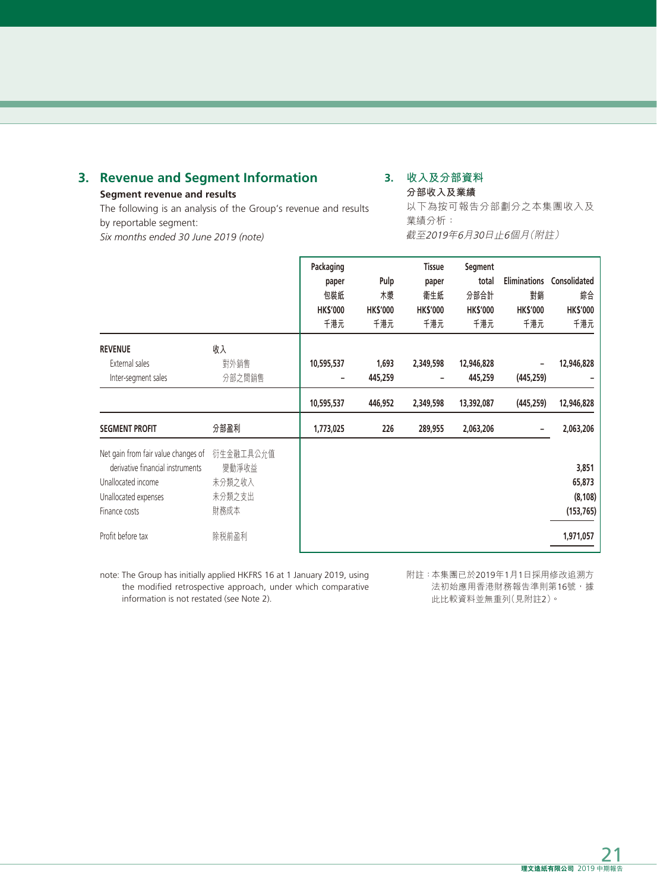# **3. Revenue and Segment Information**

### **Segment revenue and results**

The following is an analysis of the Group's revenue and results by reportable segment: *Six months ended 30 June 2019 (note)*

# **3. 收入及分部資料**

**分部收入及業績** 以下為按可報告分部劃分之本集團收入及 業績分析: 截至2019年6月30日止6個月(附註)

|                                                                                                                                        |                                                | Packaging<br>paper<br>包裝紙<br><b>HK\$'000</b><br>千港元 | Pulp<br>木漿<br><b>HK\$'000</b><br>千港元 | <b>Tissue</b><br>paper<br>衛生紙<br><b>HK\$'000</b><br>千港元 | Segment<br>total<br>分部合計<br><b>HK\$'000</b><br>千港元 | <b>Eliminations</b><br>對銷<br><b>HK\$'000</b><br>千港元 | Consolidated<br>綜合<br><b>HK\$'000</b><br>千港元 |
|----------------------------------------------------------------------------------------------------------------------------------------|------------------------------------------------|-----------------------------------------------------|--------------------------------------|---------------------------------------------------------|----------------------------------------------------|-----------------------------------------------------|----------------------------------------------|
| <b>REVENUE</b><br>External sales<br>Inter-segment sales                                                                                | 收入<br>對外銷售<br>分部之間銷售                           | 10,595,537<br>$\overline{a}$                        | 1,693<br>445,259                     | 2,349,598<br>٠                                          | 12,946,828<br>445,259                              | -<br>(445, 259)                                     | 12,946,828                                   |
|                                                                                                                                        |                                                | 10,595,537                                          | 446,952                              | 2,349,598                                               | 13,392,087                                         | (445,259)                                           | 12,946,828                                   |
| <b>SEGMENT PROFIT</b>                                                                                                                  | 分部盈利                                           | 1,773,025                                           | 226                                  | 289,955                                                 | 2,063,206                                          | ۰                                                   | 2,063,206                                    |
| Net gain from fair value changes of<br>derivative financial instruments<br>Unallocated income<br>Unallocated expenses<br>Finance costs | 衍生金融工具公允值<br>變動淨收益<br>未分類之收入<br>未分類之支出<br>財務成本 |                                                     |                                      |                                                         |                                                    |                                                     | 3,851<br>65,873<br>(8, 108)<br>(153, 765)    |
| Profit before tax                                                                                                                      | 除税前盈利                                          |                                                     |                                      |                                                         |                                                    |                                                     | 1,971,057                                    |

note: The Group has initially applied HKFRS 16 at 1 January 2019, using the modified retrospective approach, under which comparative information is not restated (see Note 2).

附註:本集團已於2019年1月1日採用修改追溯方 法初始應用香港財務報告準則第16號,據 此比較資料並無重列(見附註2)。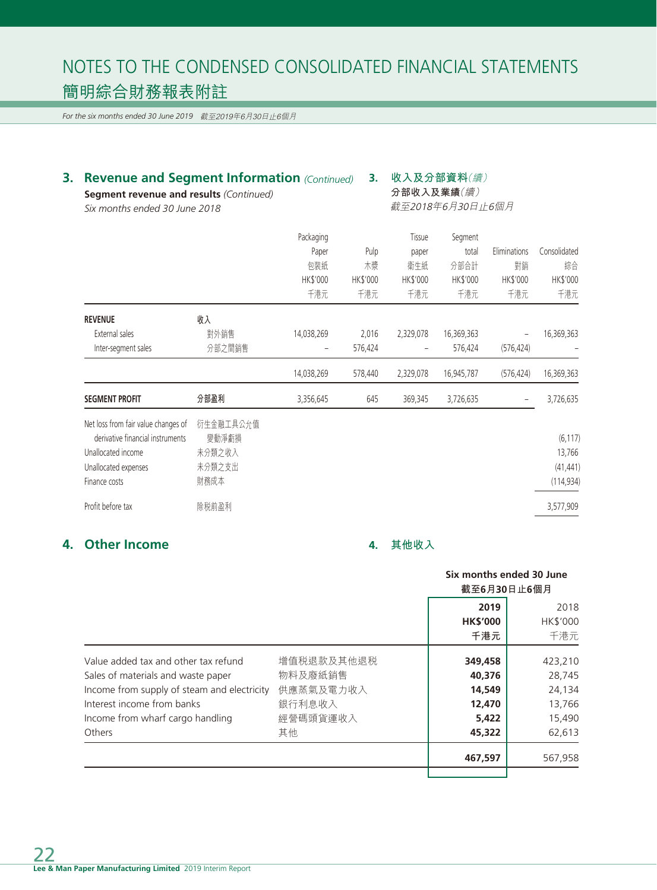*For the six months ended 30 June 2019* 截至2019年6月30日止6個月

| Segment revenue and results (Continued)<br>Six months ended 30 June 2018 | <b>Revenue and Segment Information (Continued)</b> |                 |          | 收入及分部資料(續)<br>分部收入及業績(續)<br>截至2018年6月30日止6個月 |            |              |              |
|--------------------------------------------------------------------------|----------------------------------------------------|-----------------|----------|----------------------------------------------|------------|--------------|--------------|
|                                                                          |                                                    | Packaging       |          | Tissue                                       | Segment    |              |              |
|                                                                          |                                                    | Paper           | Pulp     | paper                                        | total      | Eliminations | Consolidated |
|                                                                          |                                                    | 包裝紙             | 木漿       | 衛生紙                                          | 分部合計       | 對銷           | 綜合           |
|                                                                          |                                                    | <b>HK\$'000</b> | HK\$'000 | <b>HK\$'000</b>                              | HK\$'000   | HK\$'000     | HK\$'000     |
|                                                                          |                                                    | 千港元             | 千港元      | 千港元                                          | 千港元        | 千港元          | 千港元          |
| <b>REVENUE</b>                                                           | 收入                                                 |                 |          |                                              |            |              |              |
| External sales                                                           | 對外銷售                                               | 14,038,269      | 2,016    | 2,329,078                                    | 16,369,363 |              | 16,369,363   |
| Inter-segment sales                                                      | 分部之間銷售                                             |                 | 576,424  |                                              | 576,424    | (576, 424)   |              |
|                                                                          |                                                    | 14,038,269      | 578,440  | 2,329,078                                    | 16,945,787 | (576, 424)   | 16,369,363   |
| <b>SEGMENT PROFIT</b>                                                    | 分部盈利                                               | 3,356,645       | 645      | 369,345                                      | 3,726,635  |              | 3,726,635    |
| Net loss from fair value changes of                                      | 衍生金融工具公允值                                          |                 |          |                                              |            |              |              |
| derivative financial instruments                                         | 變動淨虧損                                              |                 |          |                                              |            |              | (6, 117)     |
| Unallocated income                                                       | 未分類之收入                                             |                 |          |                                              |            |              | 13,766       |
| Unallocated expenses                                                     | 未分類之支出                                             |                 |          |                                              |            |              | (41, 441)    |
| Finance costs                                                            | 財務成本                                               |                 |          |                                              |            |              | (114, 934)   |
| Profit before tax                                                        | 除税前盈利                                              |                 |          |                                              |            |              | 3,577,909    |

# **4. Other Income**

# **4. 其他收入**

|                                                                                                                                                                                             |                                                          | Six months ended 30 June<br>截至6月30日止6個月        |                                                 |
|---------------------------------------------------------------------------------------------------------------------------------------------------------------------------------------------|----------------------------------------------------------|------------------------------------------------|-------------------------------------------------|
|                                                                                                                                                                                             |                                                          | 2019<br><b>HK\$'000</b><br>千港元                 | 2018<br><b>HK\$'000</b><br>千港元                  |
| Value added tax and other tax refund<br>Sales of materials and waste paper<br>Income from supply of steam and electricity<br>Interest income from banks<br>Income from wharf cargo handling | 增值税退款及其他退税<br>物料及廢紙銷售<br>供應蒸氣及電力收入<br>銀行利息收入<br>經營碼頭貨運收入 | 349,458<br>40,376<br>14,549<br>12,470<br>5,422 | 423,210<br>28,745<br>24,134<br>13,766<br>15,490 |
| Others                                                                                                                                                                                      | 其他                                                       | 45,322<br>467,597                              | 62,613<br>567,958                               |
|                                                                                                                                                                                             |                                                          |                                                |                                                 |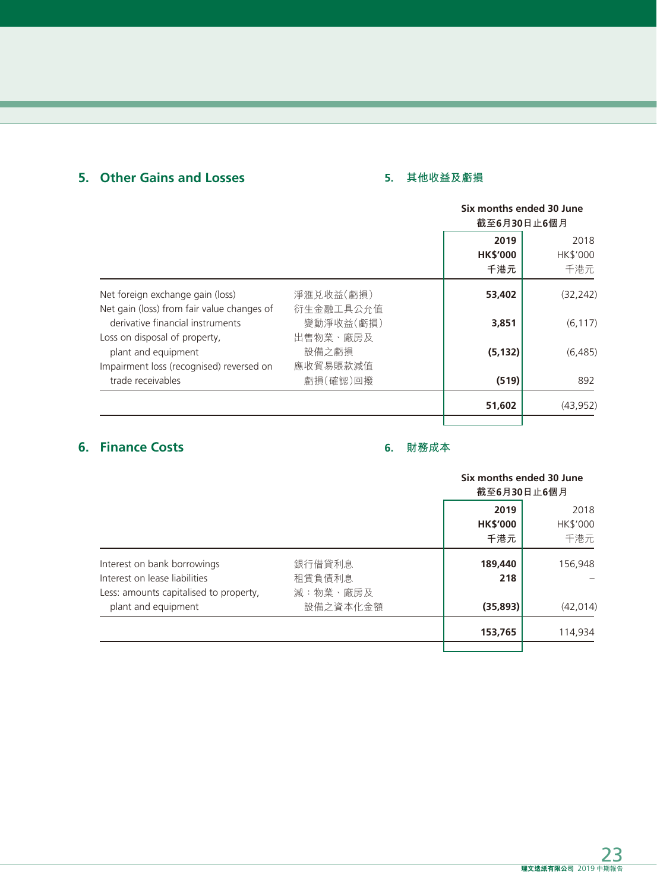# **5. Other Gains and Losses**

# **5. 其他收益及虧損**

|                                            |           |                 | Six months ended 30 June |  |
|--------------------------------------------|-----------|-----------------|--------------------------|--|
|                                            |           | 截至6月30日止6個月     |                          |  |
|                                            |           | 2019            | 2018                     |  |
|                                            |           | <b>HK\$'000</b> | HK\$'000                 |  |
|                                            |           | 千港元             | 千港元                      |  |
| Net foreign exchange gain (loss)           | 淨滙兑收益(虧損) | 53,402          | (32, 242)                |  |
| Net gain (loss) from fair value changes of | 衍生金融工具公允值 |                 |                          |  |
| derivative financial instruments           | 變動淨收益(虧損) | 3,851           | (6, 117)                 |  |
| Loss on disposal of property,              | 出售物業、廠房及  |                 |                          |  |
| plant and equipment                        | 設備之虧損     | (5, 132)        | (6, 485)                 |  |
| Impairment loss (recognised) reversed on   | 應收貿易賬款減值  |                 |                          |  |
| trade receivables                          | 虧損(確認)回撥  | (519)           | 892                      |  |
|                                            |           | 51,602          | (43, 952)                |  |
|                                            |           |                 |                          |  |

# **6. Finance Costs**

# **6. 財務成本**

|                                                                                                        |                              | Six months ended 30 June<br>截至6月30日止6個月 |                         |
|--------------------------------------------------------------------------------------------------------|------------------------------|-----------------------------------------|-------------------------|
|                                                                                                        |                              | 2019<br><b>HK\$'000</b><br>千港元          | 2018<br>HK\$'000<br>千港元 |
| Interest on bank borrowings<br>Interest on lease liabilities<br>Less: amounts capitalised to property, | 銀行借貸利息<br>租賃負債利息<br>減:物業、廠房及 | 189,440<br>218                          | 156,948                 |
| plant and equipment                                                                                    | 設備之資本化金額                     | (35, 893)                               | (42, 014)               |
|                                                                                                        |                              | 153,765                                 | 114,934                 |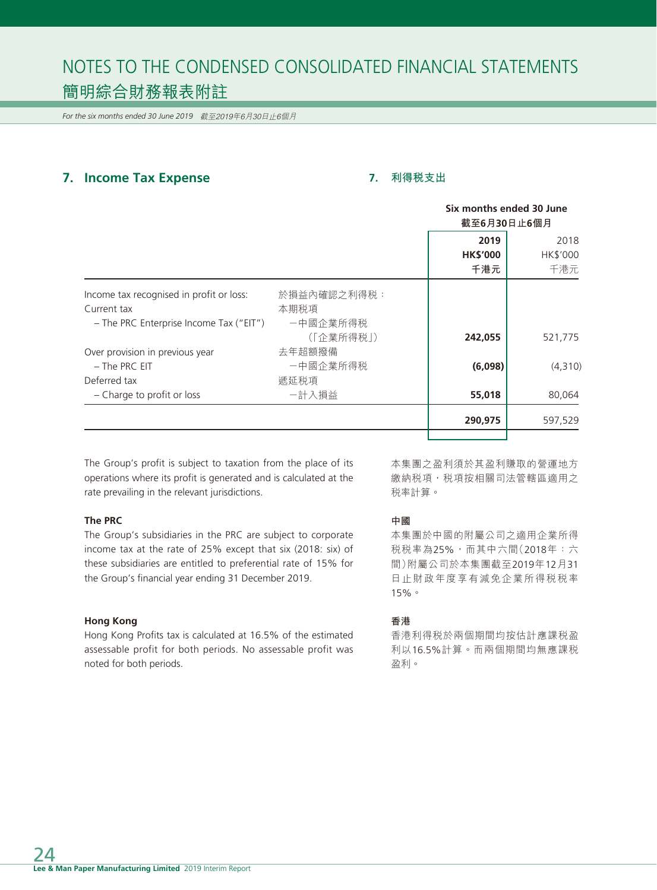*For the six months ended 30 June 2019* 截至2019年6月30日止6個月

# **7. Income Tax Expense**

# **7. 利得稅支出**

|                                           |             | Six months ended 30 June<br>截至6月30日止6個月 |          |
|-------------------------------------------|-------------|-----------------------------------------|----------|
|                                           |             | 2019                                    | 2018     |
|                                           |             | <b>HK\$'000</b>                         | HK\$'000 |
|                                           |             | 千港元                                     | 千港元      |
| Income tax recognised in profit or loss:  | 於損益內確認之利得税: |                                         |          |
| Current tax                               | 本期税項        |                                         |          |
| $-$ The PRC Enterprise Income Tax ("EIT") | 一中國企業所得税    |                                         |          |
|                                           | (「企業所得税」)   | 242,055                                 | 521,775  |
| Over provision in previous year           | 去年超額撥備      |                                         |          |
| - The PRC EIT                             | 一中國企業所得税    | (6,098)                                 | (4,310)  |
| Deferred tax                              | 遞延税項        |                                         |          |
| - Charge to profit or loss                | 一計入損益       | 55,018                                  | 80,064   |
|                                           |             | 290,975                                 | 597,529  |
|                                           |             |                                         |          |

The Group's profit is subject to taxation from the place of its operations where its profit is generated and is calculated at the rate prevailing in the relevant jurisdictions.

#### **The PRC**

The Group's subsidiaries in the PRC are subject to corporate income tax at the rate of 25% except that six (2018: six) of these subsidiaries are entitled to preferential rate of 15% for the Group's financial year ending 31 December 2019.

#### **Hong Kong**

Hong Kong Profits tax is calculated at 16.5% of the estimated assessable profit for both periods. No assessable profit was noted for both periods.

本集團之盈利須於其盈利賺取的營運地方 繳納稅項,稅項按相關司法管轄區適用之 稅率計算。

#### **中國**

本集團於中國的附屬公司之適用企業所得 稅稅率為25%,而其中六間(2018年:六 間)附屬公司於本集團截至2019年12月31 日止財政年度享有減免企業所得稅稅率 15%。

#### **香港**

香港利得稅於兩個期間均按估計應課稅盈 利以16.5%計算。而兩個期間均無應課稅 盈利。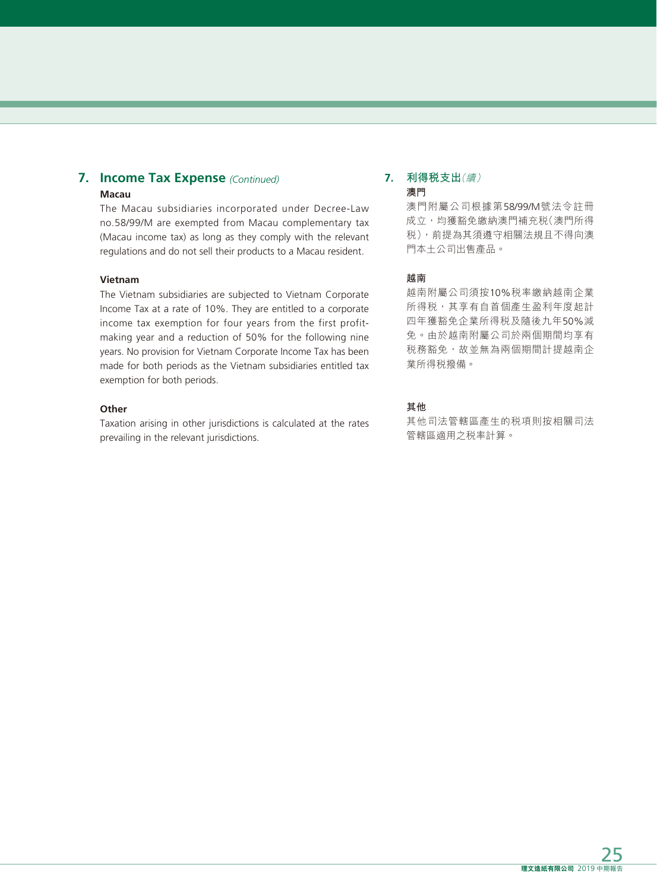#### **7. Income Tax Expense** *(Continued)* **Macau**

The Macau subsidiaries incorporated under Decree-Law no.58/99/M are exempted from Macau complementary tax (Macau income tax) as long as they comply with the relevant regulations and do not sell their products to a Macau resident.

#### **Vietnam**

The Vietnam subsidiaries are subjected to Vietnam Corporate Income Tax at a rate of 10%. They are entitled to a corporate income tax exemption for four years from the first profitmaking year and a reduction of 50% for the following nine years. No provision for Vietnam Corporate Income Tax has been made for both periods as the Vietnam subsidiaries entitled tax exemption for both periods.

#### **Other**

Taxation arising in other jurisdictions is calculated at the rates prevailing in the relevant jurisdictions.

#### **7. 利得稅支出**(續) **澳門**

澳門附屬公司根據第58/99/M號法令註冊 成立,均獲豁免繳納澳門補充稅(澳門所得 稅),前提為其須遵守相關法規且不得向澳 門本土公司出售產品。

#### **越南**

越南附屬公司須按10%稅率繳納越南企業 所得稅,其享有自首個產生盈利年度起計 四年獲豁免企業所得稅及隨後九年50%減 免。由於越南附屬公司於兩個期間均享有 税務豁免,故並無為兩個期間計提越南企 業所得稅撥備。

# **其他**

其他司法管轄區產生的稅項則按相關司法 管轄區適用之稅率計算。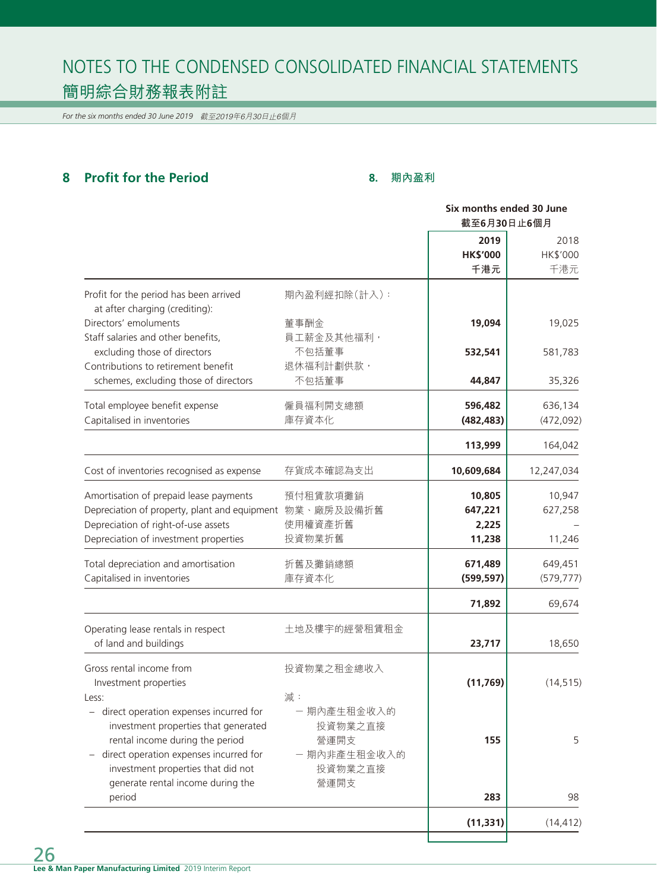*For the six months ended 30 June 2019* 截至2019年6月30日止6個月

# **8 Profit for the Period**

# **8. 期內盈利**

|                                                                          |              | Six months ended 30 June |            |
|--------------------------------------------------------------------------|--------------|--------------------------|------------|
|                                                                          |              | 截至6月30日止6個月              |            |
|                                                                          |              | 2019                     | 2018       |
|                                                                          |              | <b>HK\$'000</b>          | HK\$'000   |
|                                                                          |              | 千港元                      | 千港元        |
| Profit for the period has been arrived<br>at after charging (crediting): | 期內盈利經扣除(計入): |                          |            |
| Directors' emoluments                                                    | 董事酬金         | 19,094                   | 19,025     |
| Staff salaries and other benefits,                                       | 員工薪金及其他福利,   |                          |            |
| excluding those of directors                                             | 不包括董事        | 532,541                  | 581,783    |
| Contributions to retirement benefit                                      | 退休福利計劃供款,    |                          |            |
| schemes, excluding those of directors                                    | 不包括董事        | 44,847                   | 35,326     |
| Total employee benefit expense                                           | 僱員福利開支總額     | 596,482                  | 636,134    |
| Capitalised in inventories                                               | 庫存資本化        | (482, 483)               | (472, 092) |
|                                                                          |              | 113,999                  | 164,042    |
| Cost of inventories recognised as expense                                | 存貨成本確認為支出    | 10,609,684               | 12,247,034 |
| Amortisation of prepaid lease payments                                   | 預付租賃款項攤銷     | 10,805                   | 10,947     |
| Depreciation of property, plant and equipment 物業、廠房及設備折舊                 |              | 647,221                  | 627,258    |
| Depreciation of right-of-use assets                                      | 使用權資產折舊      | 2,225                    |            |
| Depreciation of investment properties                                    | 投資物業折舊       | 11,238                   | 11,246     |
| Total depreciation and amortisation                                      | 折舊及攤銷總額      | 671,489                  | 649,451    |
| Capitalised in inventories                                               | 庫存資本化        | (599, 597)               | (579, 777) |
|                                                                          |              | 71,892                   | 69,674     |
| Operating lease rentals in respect                                       | 土地及樓宇的經營租賃租金 |                          |            |
| of land and buildings                                                    |              | 23,717                   | 18,650     |
| Gross rental income from                                                 | 投資物業之租金總收入   |                          |            |
| Investment properties                                                    |              | (11, 769)                | (14, 515)  |
| Less:                                                                    | 減:           |                          |            |
| - direct operation expenses incurred for                                 | - 期內產生租金收入的  |                          |            |
| investment properties that generated                                     | 投資物業之直接      |                          |            |
| rental income during the period                                          | 營運開支         | 155                      | 5          |
| direct operation expenses incurred for                                   | - 期內非產生租金收入的 |                          |            |
| investment properties that did not                                       | 投資物業之直接      |                          |            |
| generate rental income during the                                        | 營運開支         |                          |            |
| period                                                                   |              | 283                      | 98         |
|                                                                          |              | (11, 331)                | (14, 412)  |
|                                                                          |              |                          |            |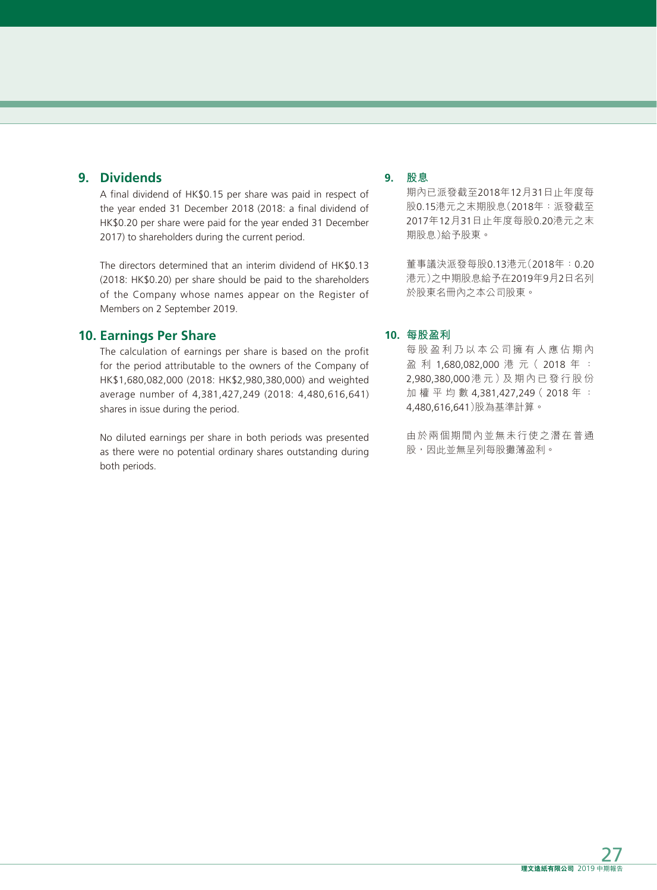# **9. Dividends**

A final dividend of HK\$0.15 per share was paid in respect of the year ended 31 December 2018 (2018: a final dividend of HK\$0.20 per share were paid for the year ended 31 December 2017) to shareholders during the current period.

The directors determined that an interim dividend of HK\$0.13 (2018: HK\$0.20) per share should be paid to the shareholders of the Company whose names appear on the Register of Members on 2 September 2019.

# **10. Earnings Per Share**

The calculation of earnings per share is based on the profit for the period attributable to the owners of the Company of HK\$1,680,082,000 (2018: HK\$2,980,380,000) and weighted average number of 4,381,427,249 (2018: 4,480,616,641) shares in issue during the period.

No diluted earnings per share in both periods was presented as there were no potential ordinary shares outstanding during both periods.

# **9. 股息**

期內已派發截至2018年12月31日止年度每 股0.15港元之末期股息(2018年:派發截至 2017年12月31日止年度每股0.20港元之末 期股息)給予股東。

董事議決派發每股0.13港元(2018年:0.20 港元)之中期股息給予在2019年9月2日名列 於股東名冊內之本公司股東。

#### **10. 每股盈利**

每股盈利乃以本公司擁有人應佔期內 盈 利 1,680,082,000 港 元( 2018 年 : 2,980,380,000 港 元 )及 期 內 已 發 行 股 份 加權平均數 4,381,427,249( 2018 年 : 4,480,616,641)股為基準計算。

由於兩個期間內並無未行使之潛在普通 股,因此並無呈列每股攤薄盈利。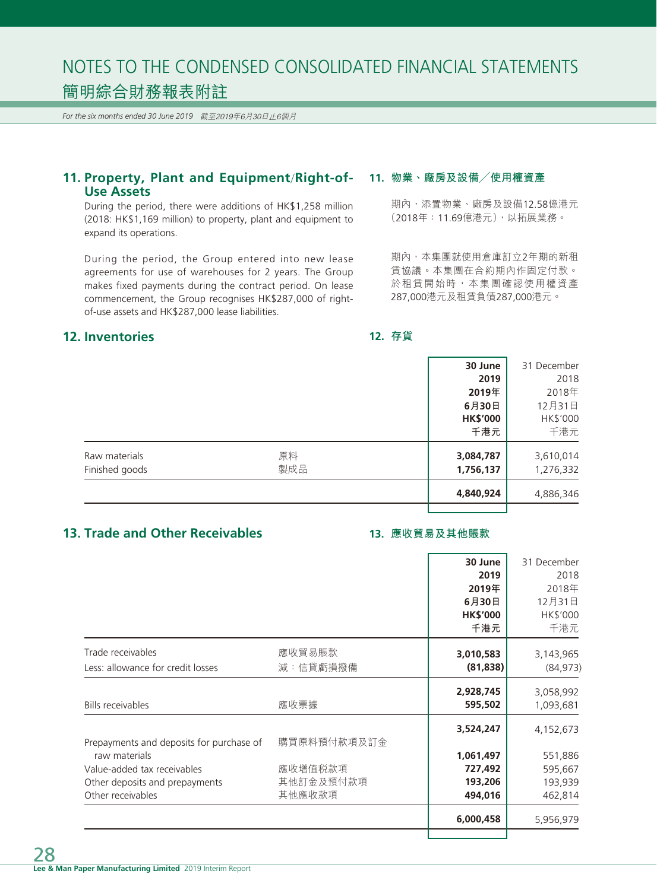*For the six months ended 30 June 2019* 截至2019年6月30日止6個月

# **11. Property, Plant and Equipment**/**Right-of-Use Assets**

During the period, there were additions of HK\$1,258 million (2018: HK\$1,169 million) to property, plant and equipment to expand its operations.

During the period, the Group entered into new lease agreements for use of warehouses for 2 years. The Group makes fixed payments during the contract period. On lease commencement, the Group recognises HK\$287,000 of rightof-use assets and HK\$287,000 lease liabilities.

# **12. Inventories**

#### **11. 物業、廠房及設備╱使用權資產**

期內,添置物業、廠房及設備12.58億港元 (2018年:11.69億港元),以拓展業務。

期內,本集團就使用倉庫訂立2年期的新租 賃協議。本集團在合約期內作固定付款。 於租賃開始時,本集團確認使用權資產 287,000港元及租賃負債287,000港元。

### **12. 存貨**

|                |     | 30 June         | 31 December |
|----------------|-----|-----------------|-------------|
|                |     | 2019            | 2018        |
|                |     | 2019年           | 2018年       |
|                |     | 6月30日           | 12月31日      |
|                |     | <b>HK\$'000</b> | HK\$'000    |
|                |     | 千港元             | 千港元         |
| Raw materials  | 原料  | 3,084,787       | 3,610,014   |
| Finished goods | 製成品 | 1,756,137       | 1,276,332   |
|                |     | 4,840,924       | 4,886,346   |
|                |     |                 |             |

# **13. Trade and Other Receivables**

# **13. 應收貿易及其他賬款**

|                                                                                                        | 30 June<br>2019<br>2019年        | 31 December<br>2018<br>2018年  |
|--------------------------------------------------------------------------------------------------------|---------------------------------|-------------------------------|
|                                                                                                        | 6月30日<br><b>HK\$'000</b><br>千港元 | 12月31日<br>HK\$'000<br>千港元     |
| Trade receivables<br>應收貿易賬款<br>減:信貸虧損撥備<br>Less: allowance for credit losses                           | 3,010,583<br>(81, 838)          | 3,143,965<br>(84, 973)        |
| 應收票據<br><b>Bills receivables</b>                                                                       | 2,928,745<br>595,502            | 3,058,992<br>1,093,681        |
| 購買原料預付款項及訂金<br>Prepayments and deposits for purchase of                                                | 3,524,247                       | 4,152,673                     |
| raw materials<br>應收增值税款項<br>Value-added tax receivables<br>其他訂金及預付款項<br>Other deposits and prepayments | 1,061,497<br>727,492<br>193,206 | 551,886<br>595,667<br>193,939 |
| 其他應收款項<br>Other receivables                                                                            | 494,016<br>6,000,458            | 462,814<br>5,956,979          |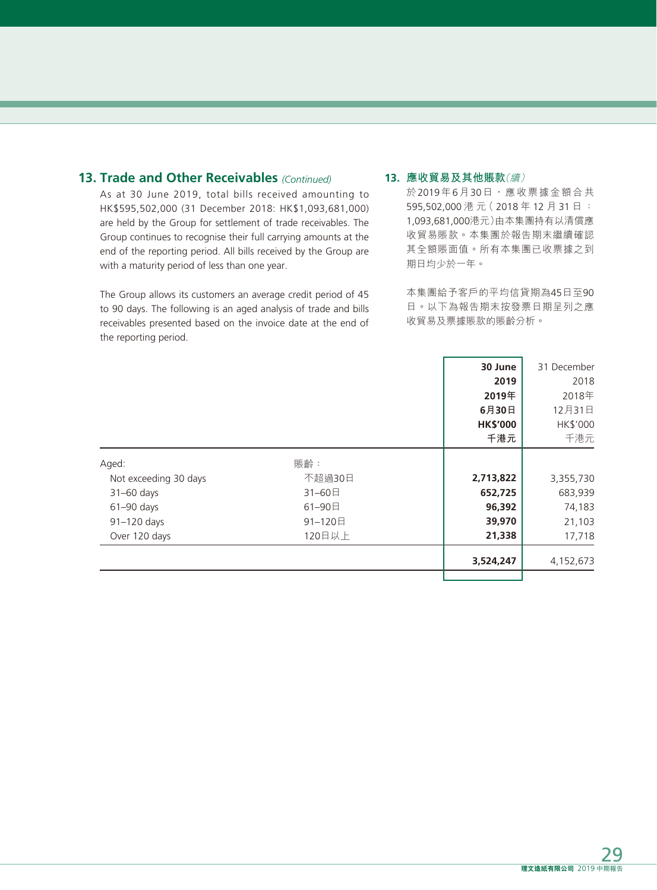# **13. Trade and Other Receivables** *(Continued)*

As at 30 June 2019, total bills received amounting to HK\$595,502,000 (31 December 2018: HK\$1,093,681,000) are held by the Group for settlement of trade receivables. The Group continues to recognise their full carrying amounts at the end of the reporting period. All bills received by the Group are with a maturity period of less than one year.

The Group allows its customers an average credit period of 45 to 90 days. The following is an aged analysis of trade and bills receivables presented based on the invoice date at the end of the reporting period.

### **13. 應收貿易及其他賬款**(續)

於2019年6月30日,應收票據金額合共 595,502,000 港 元( 2018 年 12 月 31 日 : 1,093,681,000港元)由本集團持有以清償應 收貿易賬款。本集團於報告期末繼續確認 其全額賬面值。所有本集團已收票據之到 期日均少於一年。

本集團給予客戶的平均信貸期為45日至90 日。以下為報告期末按發票日期呈列之應 收貿易及票據賬款的賬齡分析。

|                       |         | 30 June         | 31 December |
|-----------------------|---------|-----------------|-------------|
|                       |         | 2019            | 2018        |
|                       |         | 2019年           | 2018年       |
|                       |         | 6月30日           | 12月31日      |
|                       |         | <b>HK\$'000</b> | HK\$'000    |
|                       |         | 千港元             | 千港元         |
| Aged:                 | 賬齡:     |                 |             |
| Not exceeding 30 days | 不超過30日  | 2,713,822       | 3,355,730   |
| $31-60$ days          | 31-60日  | 652,725         | 683,939     |
| 61-90 days            | 61-90日  | 96,392          | 74,183      |
| 91-120 days           | 91-120日 | 39,970          | 21,103      |
| Over 120 days         | 120日以上  | 21,338          | 17,718      |
|                       |         | 3,524,247       | 4,152,673   |
|                       |         |                 |             |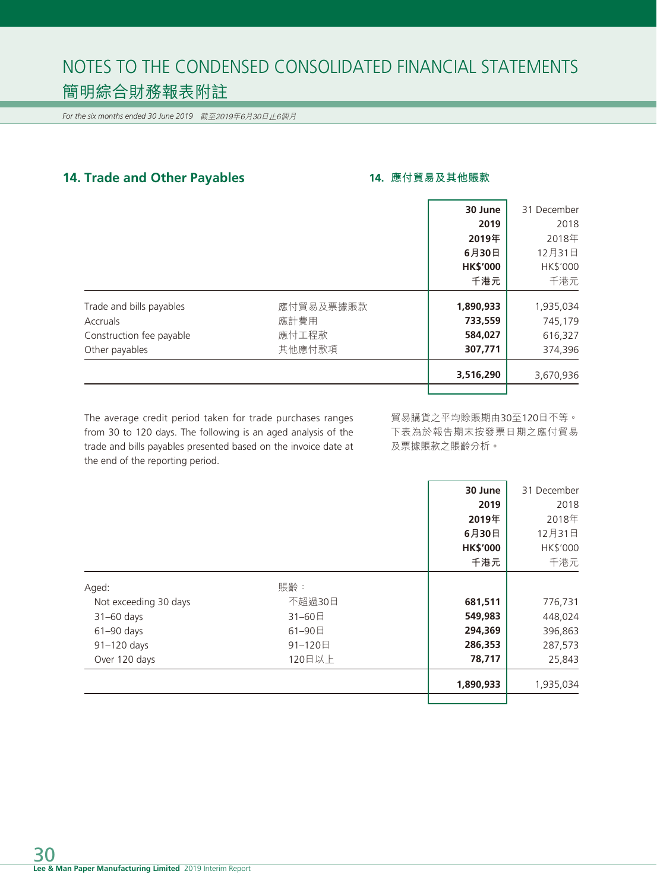*For the six months ended 30 June 2019* 截至2019年6月30日止6個月

# **14. Trade and Other Payables 14. 應付貿易及其他賬款**

|                          |           | 30 June         | 31 December |
|--------------------------|-----------|-----------------|-------------|
|                          |           | 2019            | 2018        |
|                          |           | 2019年           | 2018年       |
|                          |           | 6月30日           | 12月31日      |
|                          |           | <b>HK\$'000</b> | HK\$'000    |
|                          |           | 千港元             | 千港元         |
| Trade and bills payables | 應付貿易及票據賬款 | 1,890,933       | 1,935,034   |
| Accruals                 | 應計費用      | 733,559         | 745,179     |
| Construction fee payable | 應付工程款     | 584,027         | 616,327     |
| Other payables           | 其他應付款項    | 307,771         | 374,396     |
|                          |           | 3,516,290       | 3,670,936   |
|                          |           |                 |             |

The average credit period taken for trade purchases ranges from 30 to 120 days. The following is an aged analysis of the trade and bills payables presented based on the invoice date at the end of the reporting period.

貿易購貨之平均賒賬期由30至120日不等。 下表為於報告期末按發票日期之應付貿易 及票據賬款之賬齡分析。

|                       |         | 30 June         | 31 December |
|-----------------------|---------|-----------------|-------------|
|                       |         | 2019            | 2018        |
|                       |         | 2019年           | 2018年       |
|                       |         | 6月30日           | 12月31日      |
|                       |         | <b>HK\$'000</b> | HK\$'000    |
|                       |         | 千港元             | 千港元         |
| Aged:                 | 賬齡:     |                 |             |
| Not exceeding 30 days | 不超過30日  | 681,511         | 776,731     |
| $31-60$ days          | 31-60日  | 549,983         | 448,024     |
| $61 - 90$ days        | 61-90日  | 294,369         | 396,863     |
| 91-120 days           | 91-120日 | 286,353         | 287,573     |
| Over 120 days         | 120日以上  | 78,717          | 25,843      |
|                       |         | 1,890,933       | 1,935,034   |
|                       |         |                 |             |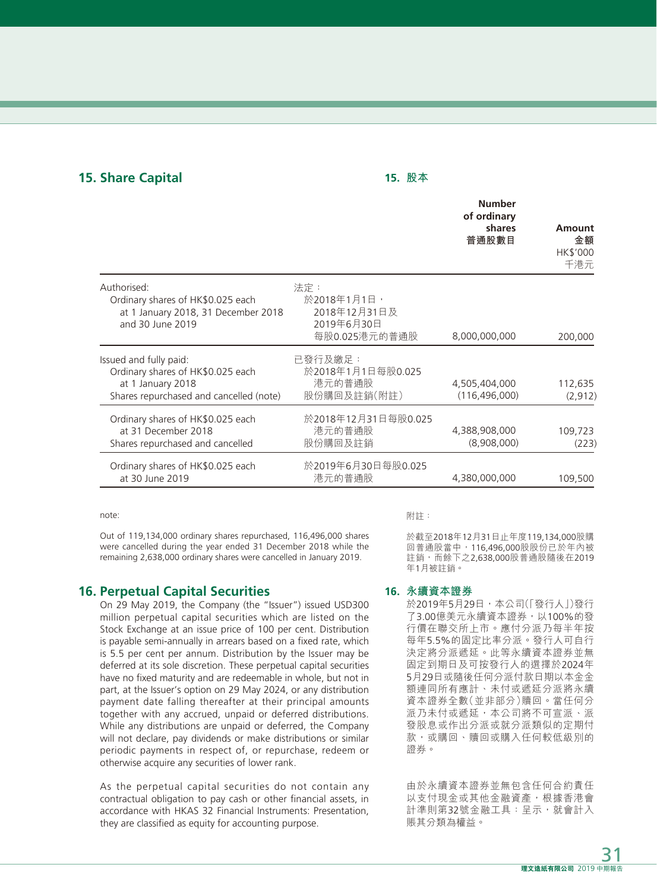# **15. Share Capital 15. 股本**

|                                                                                                                             |                                                                   | <b>Number</b><br>of ordinary<br>shares<br>普通股數目 | Amount<br>金額<br>HK\$'000<br>千港元 |
|-----------------------------------------------------------------------------------------------------------------------------|-------------------------------------------------------------------|-------------------------------------------------|---------------------------------|
| Authorised:<br>Ordinary shares of HK\$0.025 each<br>at 1 January 2018, 31 December 2018<br>and 30 June 2019                 | 法定:<br>於2018年1月1日,<br>2018年12月31日及<br>2019年6月30日<br>每股0.025港元的普通股 | 8,000,000,000                                   | 200,000                         |
| Issued and fully paid:<br>Ordinary shares of HK\$0.025 each<br>at 1 January 2018<br>Shares repurchased and cancelled (note) | 已發行及繳足:<br>於2018年1月1日每股0.025<br>港元的普通股<br>股份購回及註銷(附註)             | 4,505,404,000<br>(116, 496, 000)                | 112,635<br>(2, 912)             |
| Ordinary shares of HK\$0.025 each<br>at 31 December 2018<br>Shares repurchased and cancelled                                | 於2018年12月31日每股0.025<br>港元的普通股<br>股份購回及註銷                          | 4,388,908,000<br>(8,908,000)                    | 109,723<br>(223)                |
| Ordinary shares of HK\$0.025 each<br>at 30 June 2019                                                                        | 於2019年6月30日每股0.025<br>港元的普通股                                      | 4,380,000,000                                   | 109,500                         |

note:

Out of 119,134,000 ordinary shares repurchased, 116,496,000 shares were cancelled during the year ended 31 December 2018 while the remaining 2,638,000 ordinary shares were cancelled in January 2019.

# **16. Perpetual Capital Securities**

On 29 May 2019, the Company (the "Issuer") issued USD300 million perpetual capital securities which are listed on the Stock Exchange at an issue price of 100 per cent. Distribution is payable semi-annually in arrears based on a fixed rate, which is 5.5 per cent per annum. Distribution by the Issuer may be deferred at its sole discretion. These perpetual capital securities have no fixed maturity and are redeemable in whole, but not in part, at the Issuer's option on 29 May 2024, or any distribution payment date falling thereafter at their principal amounts together with any accrued, unpaid or deferred distributions. While any distributions are unpaid or deferred, the Company will not declare, pay dividends or make distributions or similar periodic payments in respect of, or repurchase, redeem or otherwise acquire any securities of lower rank.

As the perpetual capital securities do not contain any contractual obligation to pay cash or other financial assets, in accordance with HKAS 32 Financial Instruments: Presentation, they are classified as equity for accounting purpose.

#### 附註:

於截至2018年12月31日止年度119,134,000股購 回普通股當中,116,496,000股股份已於年內被 註銷,而餘下之2,638,000股普通股隨後在2019 年1月被註銷。

#### **16. 永續資本證券**

於2019年5月29日,本公司(「發行人」)發行 了3.00億美元永續資本證券,以100%的發 行價在聯交所上市。應付分派乃每半年按 每年5.5%的固定比率分派。發行人可自行 決定將分派遞延。此等永續資本證券並無 固定到期日及可按發行人的選擇於2024年 5月29日或隨後任何分派付款日期以本金金 額連同所有應計、未付或遞延分派將永續 資本證券全數(並非部分)贖回。當任何分 派乃未付或遞延,本公司將不可宣派、派 發股息或作出分派或就分派類似的定期付 款,或購回、贖回或購入任何較低級別的 證券。

由於永續資本證券並無包含任何合約責任 以支付現金或其他金融資產,根據香港會 計準則第32號金融工具:呈示,就會計入 賬其分類為權益。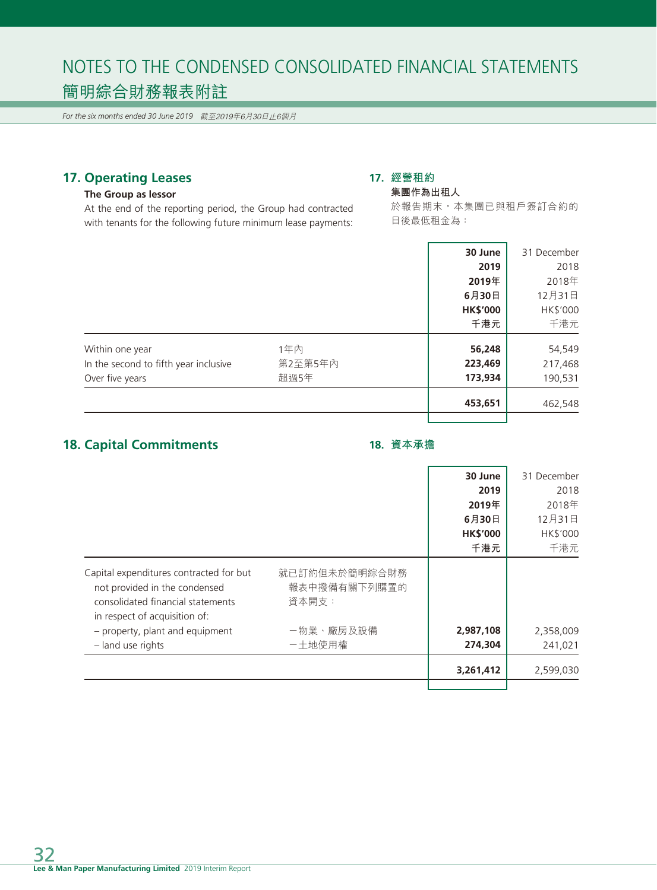*For the six months ended 30 June 2019* 截至2019年6月30日止6個月

# **17. Operating Leases**

# **The Group as lessor**

At the end of the reporting period, the Group had contracted with tenants for the following future minimum lease payments:

# **17. 經營租約**

# **集團作為出租人**

於報告期末,本集團已與租戶簽訂合約的 日後最低租金為:

|                                       |         | 30 June         | 31 December |
|---------------------------------------|---------|-----------------|-------------|
|                                       |         | 2019            | 2018        |
|                                       |         | 2019年           | 2018年       |
|                                       |         | 6月30日           | 12月31日      |
|                                       |         | <b>HK\$'000</b> | HK\$'000    |
|                                       |         | 千港元             | 千港元         |
| Within one year                       | 1年內     | 56,248          | 54,549      |
| In the second to fifth year inclusive | 第2至第5年內 | 223,469         | 217,468     |
| Over five years                       | 超過5年    | 173,934         | 190,531     |
|                                       |         | 453,651         | 462,548     |
|                                       |         |                 |             |

# **18. Capital Commitments**

# **18. 資本承擔**

|                                                                                                                                                |                                        | 30 June         | 31 December |
|------------------------------------------------------------------------------------------------------------------------------------------------|----------------------------------------|-----------------|-------------|
|                                                                                                                                                |                                        | 2019            | 2018        |
|                                                                                                                                                |                                        | 2019年           | 2018年       |
|                                                                                                                                                |                                        | 6月30日           | 12月31日      |
|                                                                                                                                                |                                        | <b>HK\$'000</b> | HK\$'000    |
|                                                                                                                                                |                                        | 千港元             | 千港元         |
| Capital expenditures contracted for but<br>not provided in the condensed<br>consolidated financial statements<br>in respect of acquisition of: | 就已訂約但未於簡明綜合財務<br>報表中撥備有關下列購置的<br>資本開支: |                 |             |
| - property, plant and equipment                                                                                                                | -物業、廠房及設備                              | 2,987,108       | 2,358,009   |
| - land use rights                                                                                                                              | 一土地使用權                                 | 274,304         | 241,021     |
|                                                                                                                                                |                                        | 3,261,412       | 2,599,030   |
|                                                                                                                                                |                                        |                 |             |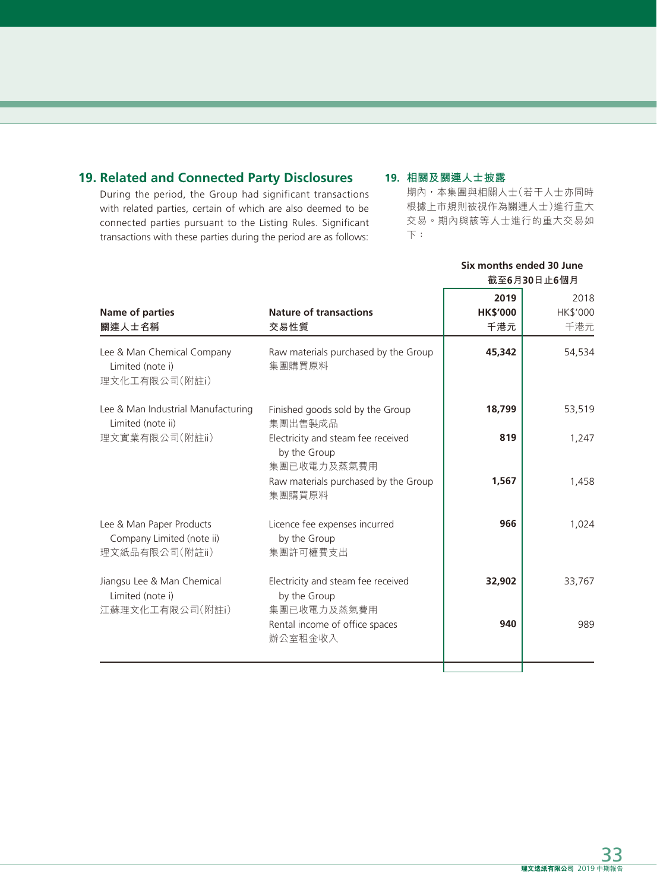# **19. Related and Connected Party Disclosures**

During the period, the Group had significant transactions with related parties, certain of which are also deemed to be connected parties pursuant to the Listing Rules. Significant transactions with these parties during the period are as follows:

## **19. 相關及關連人士披露**

期內,本集團與相關人士(若干人士亦同時 根據上市規則被視作為關連人士)進行重大 交易。期內與該等人士進行的重大交易如 下:

**Six months ended 30 June**

|                                                                         |                                                                   |                 | 截至6月30日止6個月 |
|-------------------------------------------------------------------------|-------------------------------------------------------------------|-----------------|-------------|
|                                                                         |                                                                   | 2019            | 2018        |
| <b>Name of parties</b>                                                  | <b>Nature of transactions</b>                                     | <b>HK\$'000</b> | HK\$'000    |
| 關連人士名稱                                                                  | 交易性質                                                              | 千港元             | 千港元         |
| Lee & Man Chemical Company<br>Limited (note i)<br>理文化工有限公司(附註i)         | Raw materials purchased by the Group<br>集團購買原料                    | 45,342          | 54,534      |
| Lee & Man Industrial Manufacturing<br>Limited (note ii)                 | Finished goods sold by the Group<br>集團出售製成品                       | 18,799          | 53,519      |
| 理文實業有限公司(附註ii)                                                          | Electricity and steam fee received<br>by the Group<br>集團已收電力及蒸氣費用 | 819             | 1,247       |
|                                                                         | Raw materials purchased by the Group<br>集團購買原料                    | 1,567           | 1,458       |
| Lee & Man Paper Products<br>Company Limited (note ii)<br>理文紙品有限公司(附註ii) | Licence fee expenses incurred<br>by the Group<br>集團許可權費支出         | 966             | 1,024       |
| Jiangsu Lee & Man Chemical<br>Limited (note i)<br>江蘇理文化工有限公司(附註i)       | Electricity and steam fee received<br>by the Group<br>集團已收電力及蒸氣費用 | 32,902          | 33,767      |
|                                                                         | Rental income of office spaces<br>辦公室租金收入                         | 940             | 989         |
|                                                                         |                                                                   |                 |             |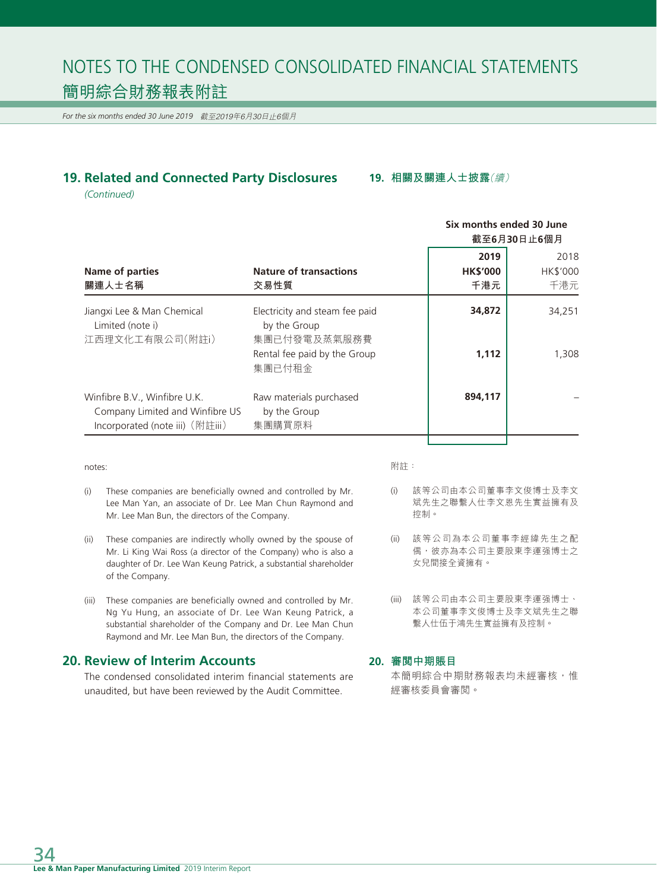*For the six months ended 30 June 2019* 截至2019年6月30日止6個月

# **19. Related and Connected Party Disclosures**

**19. 相關及關連人士披露**(續)

*(Continued)*

|                                                                                                    |                                                                                                          | Six months ended 30 June<br>截至6月30日止6個月 |                         |
|----------------------------------------------------------------------------------------------------|----------------------------------------------------------------------------------------------------------|-----------------------------------------|-------------------------|
| Name of parties<br>關連人士名稱                                                                          | <b>Nature of transactions</b><br>交易性質                                                                    | 2019<br><b>HK\$'000</b><br>千港元          | 2018<br>HK\$'000<br>千港元 |
| Jiangxi Lee & Man Chemical<br>Limited (note i)<br>江西理文化工有限公司(附註i)                                  | Electricity and steam fee paid<br>by the Group<br>集團已付發電及蒸氣服務費<br>Rental fee paid by the Group<br>集團已付租金 | 34,872<br>1,112                         | 34,251<br>1,308         |
| Winfibre B.V., Winfibre U.K.<br>Company Limited and Winfibre US<br>Incorporated (note iii) (附註iii) | Raw materials purchased<br>by the Group<br>集團購買原料                                                        | 894,117                                 |                         |

notes:

- 附註:
- (i) These companies are beneficially owned and controlled by Mr. Lee Man Yan, an associate of Dr. Lee Man Chun Raymond and Mr. Lee Man Bun, the directors of the Company.
- (ii) These companies are indirectly wholly owned by the spouse of Mr. Li King Wai Ross (a director of the Company) who is also a daughter of Dr. Lee Wan Keung Patrick, a substantial shareholder of the Company.
- (iii) These companies are beneficially owned and controlled by Mr. Ng Yu Hung, an associate of Dr. Lee Wan Keung Patrick, a substantial shareholder of the Company and Dr. Lee Man Chun Raymond and Mr. Lee Man Bun, the directors of the Company.

# **20. Review of Interim Accounts**

The condensed consolidated interim financial statements are unaudited, but have been reviewed by the Audit Committee.

- (i) 該等公司由本公司董事李文俊博士及李文 斌先生之聯繫人仕李文恩先生實益擁有及 控制。
- (ii) 該等公司為本公司董事李經緯先生之配 偶,彼亦為本公司主要股東李運强博士之 女兒間接全資擁有。
- (iii) 該等公司由本公司主要股東李運强博士、 本公司董事李文俊博士及李文斌先生之聯 繫人仕伍于鴻先生實益擁有及控制。

#### **20. 審閱中期賬目**

本簡明綜合中期財務報表均未經審核,惟 經審核委員會審閱。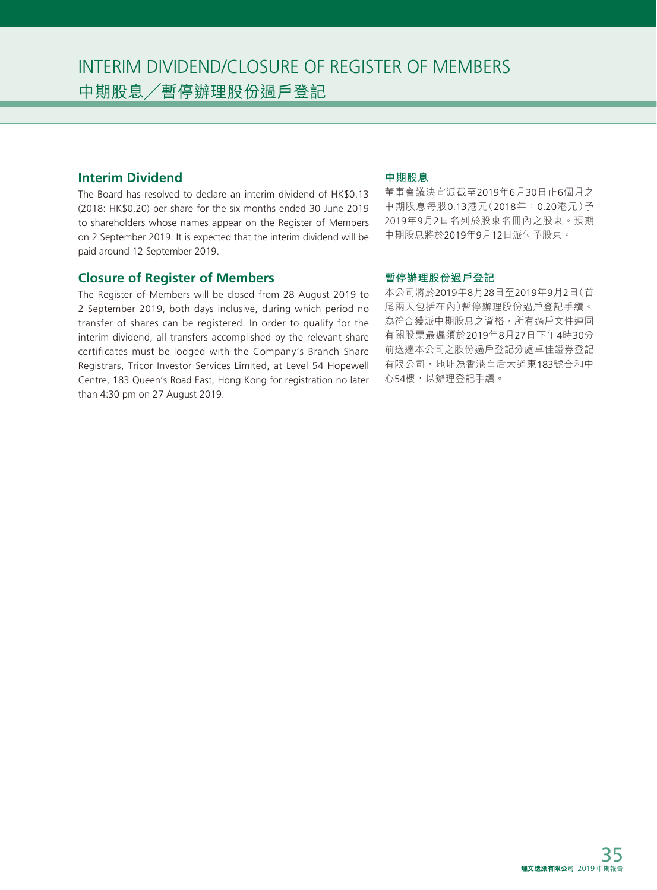# **Interim Dividend**

The Board has resolved to declare an interim dividend of HK\$0.13 (2018: HK\$0.20) per share for the six months ended 30 June 2019 to shareholders whose names appear on the Register of Members on 2 September 2019. It is expected that the interim dividend will be paid around 12 September 2019.

# **Closure of Register of Members**

The Register of Members will be closed from 28 August 2019 to 2 September 2019, both days inclusive, during which period no transfer of shares can be registered. In order to qualify for the interim dividend, all transfers accomplished by the relevant share certificates must be lodged with the Company's Branch Share Registrars, Tricor Investor Services Limited, at Level 54 Hopewell Centre, 183 Queen's Road East, Hong Kong for registration no later than 4:30 pm on 27 August 2019.

### **中期股息**

董事會議決宣派截至2019年6月30日止6個月之 中期股息每股0.13港元(2018年:0.20港元)予 2019年9月2日名列於股東名冊內之股東。預期 中期股息將於2019年9月12日派付予股東。

### **暫停辦理股份過戶登記**

本公司將於2019年8月28日至2019年9月2日(首 尾兩天包括在內)暫停辦理股份過戶登記手續。 為符合獲派中期股息之資格,所有過戶文件連同 有關股票最遲須於2019年8月27日下午4時30分 前送達本公司之股份過戶登記分處卓佳證券登記 有限公司,地址為香港皇后大道東183號合和中 心54樓,以辦理登記手續。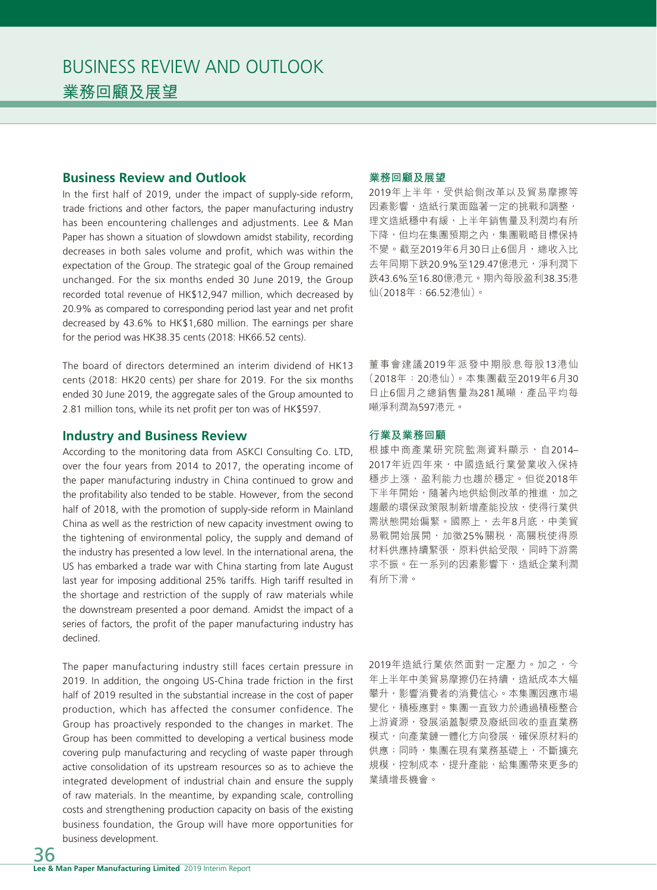# **Business Review and Outlook**

In the first half of 2019, under the impact of supply-side reform, trade frictions and other factors, the paper manufacturing industry has been encountering challenges and adjustments. Lee & Man Paper has shown a situation of slowdown amidst stability, recording decreases in both sales volume and profit, which was within the expectation of the Group. The strategic goal of the Group remained unchanged. For the six months ended 30 June 2019, the Group recorded total revenue of HK\$12,947 million, which decreased by 20.9% as compared to corresponding period last year and net profit decreased by 43.6% to HK\$1,680 million. The earnings per share for the period was HK38.35 cents (2018: HK66.52 cents).

The board of directors determined an interim dividend of HK13 cents (2018: HK20 cents) per share for 2019. For the six months ended 30 June 2019, the aggregate sales of the Group amounted to 2.81 million tons, while its net profit per ton was of HK\$597.

#### **Industry and Business Review**

According to the monitoring data from ASKCI Consulting Co. LTD, over the four years from 2014 to 2017, the operating income of the paper manufacturing industry in China continued to grow and the profitability also tended to be stable. However, from the second half of 2018, with the promotion of supply-side reform in Mainland China as well as the restriction of new capacity investment owing to the tightening of environmental policy, the supply and demand of the industry has presented a low level. In the international arena, the US has embarked a trade war with China starting from late August last year for imposing additional 25% tariffs. High tariff resulted in the shortage and restriction of the supply of raw materials while the downstream presented a poor demand. Amidst the impact of a series of factors, the profit of the paper manufacturing industry has declined.

The paper manufacturing industry still faces certain pressure in 2019. In addition, the ongoing US-China trade friction in the first half of 2019 resulted in the substantial increase in the cost of paper production, which has affected the consumer confidence. The Group has proactively responded to the changes in market. The Group has been committed to developing a vertical business mode covering pulp manufacturing and recycling of waste paper through active consolidation of its upstream resources so as to achieve the integrated development of industrial chain and ensure the supply of raw materials. In the meantime, by expanding scale, controlling costs and strengthening production capacity on basis of the existing business foundation, the Group will have more opportunities for business development.

#### **業務回顧及展望**

2019年上半年,受供給側改革以及貿易摩擦等 因素影響,造紙行業面臨著一定的挑戰和調整, 理文造紙穩中有緩,上半年銷售量及利潤均有所 下降,但均在集團預期之內,集團戰略目標保持 不變。截至2019年6月30日止6個月,總收入比 去年同期下跌20.9%至129.47億港元,淨利潤下 跌43.6%至16.80億港元。期內每股盈利38.35港 仙(2018年:66.52港仙)。

董事會建議2019年派發中期股息每股13港仙 (2018年:20港仙)。本集團截至2019年6月30 日止6個月之總銷售量為281萬噸,產品平均每 噸淨利潤為597港元。

#### **行業及業務回顧**

根據中商產業研究院監測資料顯示,自2014– 2017年近四年來,中國造紙行業營業收入保持 穩步上漲,盈利能力也趨於穩定。但從2018年 下半年開始,隨著內地供給側改革的推進,加之 趨嚴的環保政策限制新增產能投放,使得行業供 需狀態開始偏緊。國際上,去年8月底,中美貿 易戰開始展開,加徵25%關税,高關税使得原 材料供應持續緊張,原料供給受限,同時下游需 求不振。在一系列的因素影響下,造紙企業利潤 有所下滑。

2019年造紙行業依然面對一定壓力。加之,今 年上半年中美貿易摩擦仍在持續,造紙成本大幅 攀升,影響消費者的消費信心。本集團因應市場 變化,積極應對。集團一直致力於通過積極整合 上游資源,發展涵蓋製漿及廢紙回收的垂直業務 模式,向產業鏈一體化方向發展,確保原材料的 供應;同時,集團在現有業務基礎上,不斷擴充 規模,控制成本,提升產能,給集團帶來更多的 業績增長機會。

36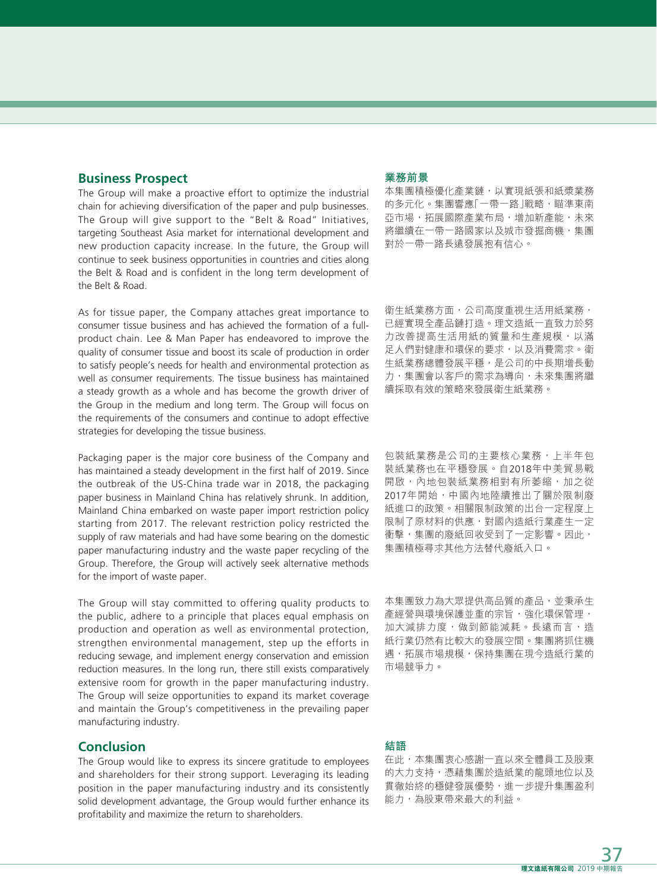### **Business Prospect**

The Group will make a proactive effort to optimize the industrial chain for achieving diversification of the paper and pulp businesses. The Group will give support to the "Belt & Road" Initiatives, targeting Southeast Asia market for international development and new production capacity increase. In the future, the Group will continue to seek business opportunities in countries and cities along the Belt & Road and is confident in the long term development of the Belt & Road.

As for tissue paper, the Company attaches great importance to consumer tissue business and has achieved the formation of a fullproduct chain. Lee & Man Paper has endeavored to improve the quality of consumer tissue and boost its scale of production in order to satisfy people's needs for health and environmental protection as well as consumer requirements. The tissue business has maintained a steady growth as a whole and has become the growth driver of the Group in the medium and long term. The Group will focus on the requirements of the consumers and continue to adopt effective strategies for developing the tissue business.

Packaging paper is the major core business of the Company and has maintained a steady development in the first half of 2019. Since the outbreak of the US-China trade war in 2018, the packaging paper business in Mainland China has relatively shrunk. In addition, Mainland China embarked on waste paper import restriction policy starting from 2017. The relevant restriction policy restricted the supply of raw materials and had have some bearing on the domestic paper manufacturing industry and the waste paper recycling of the Group. Therefore, the Group will actively seek alternative methods for the import of waste paper.

The Group will stay committed to offering quality products to the public, adhere to a principle that places equal emphasis on production and operation as well as environmental protection, strengthen environmental management, step up the efforts in reducing sewage, and implement energy conservation and emission reduction measures. In the long run, there still exists comparatively extensive room for growth in the paper manufacturing industry. The Group will seize opportunities to expand its market coverage and maintain the Group's competitiveness in the prevailing paper manufacturing industry.

# **Conclusion**

The Group would like to express its sincere gratitude to employees and shareholders for their strong support. Leveraging its leading position in the paper manufacturing industry and its consistently solid development advantage, the Group would further enhance its profitability and maximize the return to shareholders.

### **業務前景**

本集團積極優化產業鏈,以實現紙張和紙漿業務 的多元化。集團響應「一帶一路」戰略,瞄準東南 亞市場,拓展國際產業布局,增加新產能,未來 將繼續在一帶一路國家以及城市發掘商機,集團 對於一帶一路長遠發展抱有信心。

衛生紙業務方面,公司高度重視生活用紙業務, 已經實現全產品鏈打造。理文造紙一直致力於努 力改善提高生活用紙的質量和生產規模,以滿 足人們對健康和環保的要求,以及消費需求。衛 生紙業務總體發展平穩,是公司的中長期增長動 力,集團會以客戶的需求為導向,未來集團將繼 續採取有效的策略來發展衛生紙業務。

包裝紙業務是公司的主要核心業務,上半年包 裝紙業務也在平穩發展。自2018年中美貿易戰 開啟,內地包裝紙業務相對有所萎縮,加之從 2017年開始,中國內地陸續推出了關於限制廢 紙進口的政策。相關限制政策的出台一定程度上 限制了原材料的供應,對國內造紙行業產生一定 衝擊,集團的廢紙回收受到了一定影響。因此, 集團積極尋求其他方法替代廢紙入口。

本集團致力為大眾提供高品質的產品,並秉承生 産經營與環境保護並重的宗旨,強化環保管理, 加大減排力度,做到節能減耗。長遠而言,造 紙行業仍然有比較大的發展空間。集團將抓住機 遇,拓展市場規模,保持集團在現今造紙行業的 市場競爭力。

#### **結語**

在此,本集團衷心感謝一直以來全體員工及股東 的大力支持,憑藉集團於造紙業的龍頭地位以及 貫徹始終的穩健發展優勢,進一步提升集團盈利 能力,為股東帶來最大的利益。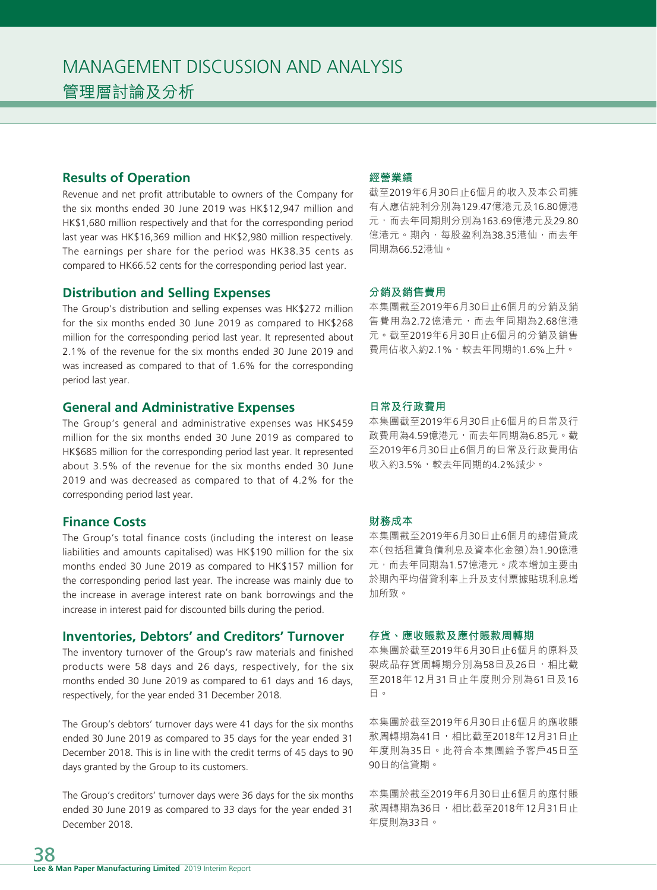# **Results of Operation**

Revenue and net profit attributable to owners of the Company for the six months ended 30 June 2019 was HK\$12,947 million and HK\$1,680 million respectively and that for the corresponding period last year was HK\$16,369 million and HK\$2,980 million respectively. The earnings per share for the period was HK38.35 cents as compared to HK66.52 cents for the corresponding period last year.

### **Distribution and Selling Expenses**

The Group's distribution and selling expenses was HK\$272 million for the six months ended 30 June 2019 as compared to HK\$268 million for the corresponding period last year. It represented about 2.1% of the revenue for the six months ended 30 June 2019 and was increased as compared to that of 1.6% for the corresponding period last year.

### **General and Administrative Expenses**

The Group's general and administrative expenses was HK\$459 million for the six months ended 30 June 2019 as compared to HK\$685 million for the corresponding period last year. It represented about 3.5% of the revenue for the six months ended 30 June 2019 and was decreased as compared to that of 4.2% for the corresponding period last year.

# **Finance Costs**

The Group's total finance costs (including the interest on lease liabilities and amounts capitalised) was HK\$190 million for the six months ended 30 June 2019 as compared to HK\$157 million for the corresponding period last year. The increase was mainly due to the increase in average interest rate on bank borrowings and the increase in interest paid for discounted bills during the period.

# **Inventories, Debtors' and Creditors' Turnover**

The inventory turnover of the Group's raw materials and finished products were 58 days and 26 days, respectively, for the six months ended 30 June 2019 as compared to 61 days and 16 days, respectively, for the year ended 31 December 2018.

The Group's debtors' turnover days were 41 days for the six months ended 30 June 2019 as compared to 35 days for the year ended 31 December 2018. This is in line with the credit terms of 45 days to 90 days granted by the Group to its customers.

The Group's creditors' turnover days were 36 days for the six months ended 30 June 2019 as compared to 33 days for the year ended 31 December 2018.

# **經營業績**

截至2019年6月30日止6個月的收入及本公司擁 有人應佔純利分別為129.47億港元及16.80億港 元,而去年同期則分別為163.69億港元及29.80 億港元。期內,每股盈利為38.35港仙,而去年 同期為66.52港仙。

#### **分銷及銷售費用**

本集團截至2019年6月30日止6個月的分銷及銷 售費用為2.72億港元,而去年同期為2.68億港 元。截至2019年6月30日止6個月的分銷及銷售 費用佔收入約2.1%,較去年同期的1.6%上升。

#### **日常及行政費用**

本集團截至2019年6月30日止6個月的日常及行 政費用為4.59億港元,而去年同期為6.85元。截 至2019年6月30日止6個月的日常及行政費用佔 收入約3.5%,較去年同期的4.2%減少。

#### **財務成本**

本集團截至2019年6月30日止6個月的總借貸成 本(包括租賃負債利息及資本化金額)為1.90億港 元,而去年同期為1.57億港元。成本增加主要由 於期內平均借貸利率上升及支付票據貼現利息增 加所致。

#### **存貨、應收賬款及應付賬款周轉期**

本集團於截至2019年6月30日止6個月的原料及 製成品存貨周轉期分別為58日及26日,相比截 至2018年12月31日止年度則分別為61日及16 日。

本集團於截至2019年6月30日止6個月的應收賬 款周轉期為41日,相比截至2018年12月31日止 年度則為35日。此符合本集團給予客戶45日至 90日的信貸期。

本集團於截至2019年6月30日止6個月的應付賬 款周轉期為36日,相比截至2018年12月31日止 年度則為33日。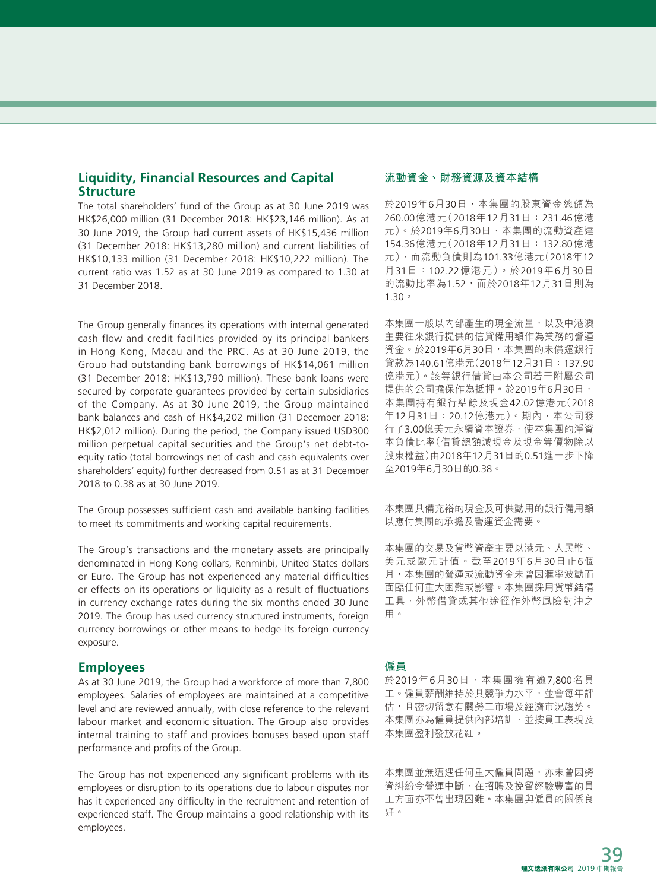# **Liquidity, Financial Resources and Capital Structure**

The total shareholders' fund of the Group as at 30 June 2019 was HK\$26,000 million (31 December 2018: HK\$23,146 million). As at 30 June 2019, the Group had current assets of HK\$15,436 million (31 December 2018: HK\$13,280 million) and current liabilities of HK\$10,133 million (31 December 2018: HK\$10,222 million). The current ratio was 1.52 as at 30 June 2019 as compared to 1.30 at 31 December 2018.

The Group generally finances its operations with internal generated cash flow and credit facilities provided by its principal bankers in Hong Kong, Macau and the PRC. As at 30 June 2019, the Group had outstanding bank borrowings of HK\$14,061 million (31 December 2018: HK\$13,790 million). These bank loans were secured by corporate guarantees provided by certain subsidiaries of the Company. As at 30 June 2019, the Group maintained bank balances and cash of HK\$4,202 million (31 December 2018: HK\$2,012 million). During the period, the Company issued USD300 million perpetual capital securities and the Group's net debt-toequity ratio (total borrowings net of cash and cash equivalents over shareholders' equity) further decreased from 0.51 as at 31 December 2018 to 0.38 as at 30 June 2019.

The Group possesses sufficient cash and available banking facilities to meet its commitments and working capital requirements.

The Group's transactions and the monetary assets are principally denominated in Hong Kong dollars, Renminbi, United States dollars or Euro. The Group has not experienced any material difficulties or effects on its operations or liquidity as a result of fluctuations in currency exchange rates during the six months ended 30 June 2019. The Group has used currency structured instruments, foreign currency borrowings or other means to hedge its foreign currency exposure.

#### **Employees**

As at 30 June 2019, the Group had a workforce of more than 7,800 employees. Salaries of employees are maintained at a competitive level and are reviewed annually, with close reference to the relevant labour market and economic situation. The Group also provides internal training to staff and provides bonuses based upon staff performance and profits of the Group.

The Group has not experienced any significant problems with its employees or disruption to its operations due to labour disputes nor has it experienced any difficulty in the recruitment and retention of experienced staff. The Group maintains a good relationship with its employees.

#### **流動資金、財務資源及資本結構**

於2019年6月30日,本集團的股東資金總額為 260.00億港元(2018年12月31日:231.46億港 元)。於2019年6月30日,本集團的流動資產達 154.36億港元(2018年12月31日:132.80億港 元),而流動負債則為101.33億港元(2018年12 月31日:102.22億港元)。於2019年6月30日 的流動比率為1.52,而於2018年12月31日則為 1.30。

本集團一般以內部產生的現金流量,以及中港澳 主要往來銀行提供的信貸備用額作為業務的營運 資金。於2019年6月30日,本集團的未償還銀行 貸款為140.61億港元(2018年12月31日:137.90 億港元)。該等銀行借貸由本公司若干附屬公司 提供的公司擔保作為抵押。於2019年6月30日, 本集團持有銀行結餘及現金42.02億港元(2018 年12月31日:20.12億港元)。期內,本公司發 行了3.00億美元永續資本證券,使本集團的淨資 本負債比率(借貸總額減現金及現金等價物除以 股東權益)由2018年12月31日的0.51進一步下降 至2019年6月30日的0.38。

本集團具備充裕的現金及可供動用的銀行備用額 以應付集團的承擔及營運資金需要。

本集團的交易及貨幣資產主要以港元、人民幣、 美元或歐元計值。截至2019年6月30日止6個 月,本集團的營運或流動資金未曾因滙率波動而 面臨任何重大困難或影響。本集團採用貨幣結構 工具,外幣借貸或其他途徑作外幣風險對沖之 用。

#### **僱員**

於2019年6月30日,本集團擁有逾7,800名員 工。僱員薪酬維持於具競爭力水平,並會每年評 估,且密切留意有關勞工市場及經濟市況趨勢。 本集團亦為僱員提供內部培訓,並按員工表現及 本集團盈利發放花紅。

本集團並無遭遇任何重大僱員問題,亦未曾因勞 資糾紛令營運中斷,在招聘及挽留經驗豐富的員 工方面亦不曾出現困難。本集團與僱員的關係良 好。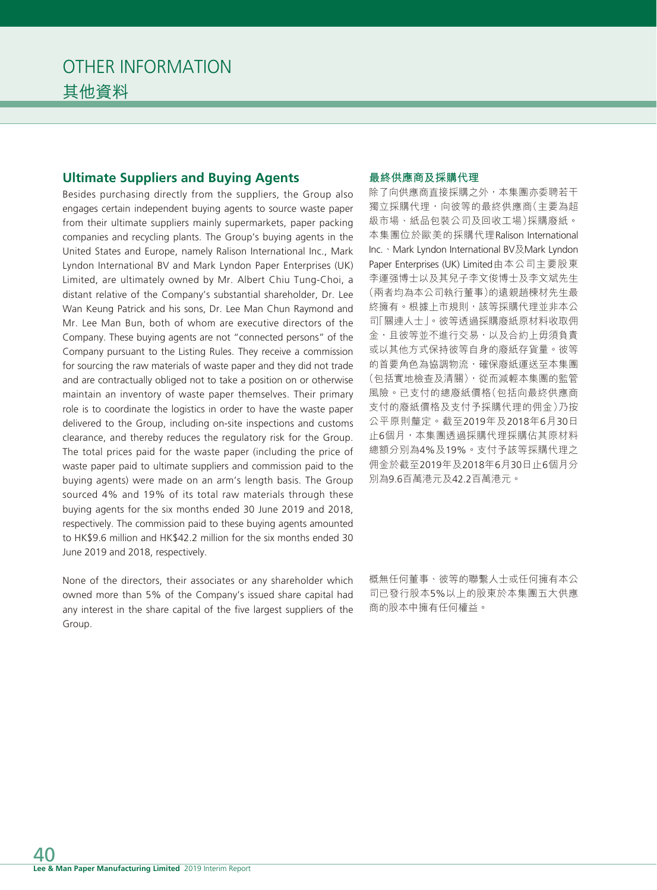# **Ultimate Suppliers and Buying Agents**

Besides purchasing directly from the suppliers, the Group also engages certain independent buying agents to source waste paper from their ultimate suppliers mainly supermarkets, paper packing companies and recycling plants. The Group's buying agents in the United States and Europe, namely Ralison International Inc., Mark Lyndon International BV and Mark Lyndon Paper Enterprises (UK) Limited, are ultimately owned by Mr. Albert Chiu Tung-Choi, a distant relative of the Company's substantial shareholder, Dr. Lee Wan Keung Patrick and his sons, Dr. Lee Man Chun Raymond and Mr. Lee Man Bun, both of whom are executive directors of the Company. These buying agents are not "connected persons" of the Company pursuant to the Listing Rules. They receive a commission for sourcing the raw materials of waste paper and they did not trade and are contractually obliged not to take a position on or otherwise maintain an inventory of waste paper themselves. Their primary role is to coordinate the logistics in order to have the waste paper delivered to the Group, including on-site inspections and customs clearance, and thereby reduces the regulatory risk for the Group. The total prices paid for the waste paper (including the price of waste paper paid to ultimate suppliers and commission paid to the buying agents) were made on an arm's length basis. The Group sourced 4% and 19% of its total raw materials through these buying agents for the six months ended 30 June 2019 and 2018, respectively. The commission paid to these buying agents amounted to HK\$9.6 million and HK\$42.2 million for the six months ended 30 June 2019 and 2018, respectively.

None of the directors, their associates or any shareholder which owned more than 5% of the Company's issued share capital had any interest in the share capital of the five largest suppliers of the Group.

#### **最終供應商及採購代理**

除了向供應商直接採購之外,本集團亦委聘若干 獨立採購代理,向彼等的最終供應商(主要為超 級市場、紙品包裝公司及回收工場)採購廢紙。 本集團位於歐美的採購代理Ralison International Inc.、Mark Lyndon International BV及Mark Lyndon Paper Enterprises (UK) Limited由本公司主要股東 李運强博士以及其兒子李文俊博士及李文斌先生 (兩者均為本公司執行董事)的遠親趙棟材先生最 終擁有。根據上市規則,該等採購代理並非本公 司「關連人士」。彼等透過採購廢紙原材料收取佣 金,且彼等並不進行交易,以及合約上毋須負責 或以其他方式保持彼等自身的廢紙存貨量。彼等 的首要角色為協調物流,確保廢紙運送至本集團 (包括實地檢查及清關),從而減輕本集團的監管 風險。已支付的總廢紙價格(包括向最終供應商 支付的廢紙價格及支付予採購代理的佣金)乃按 公平原則釐定。截至2019年及2018年6月30日 止6個月,本集團透過採購代理採購佔其原材料 總額分別為4%及19%。支付予該等採購代理之 佣金於截至2019年及2018年6月30日止6個月分 別為9.6百萬港元及42.2百萬港元。

概無任何董事、彼等的聯繫人士或任何擁有本公 司已發行股本5%以上的股東於本集團五大供應 商的股本中擁有任何權益。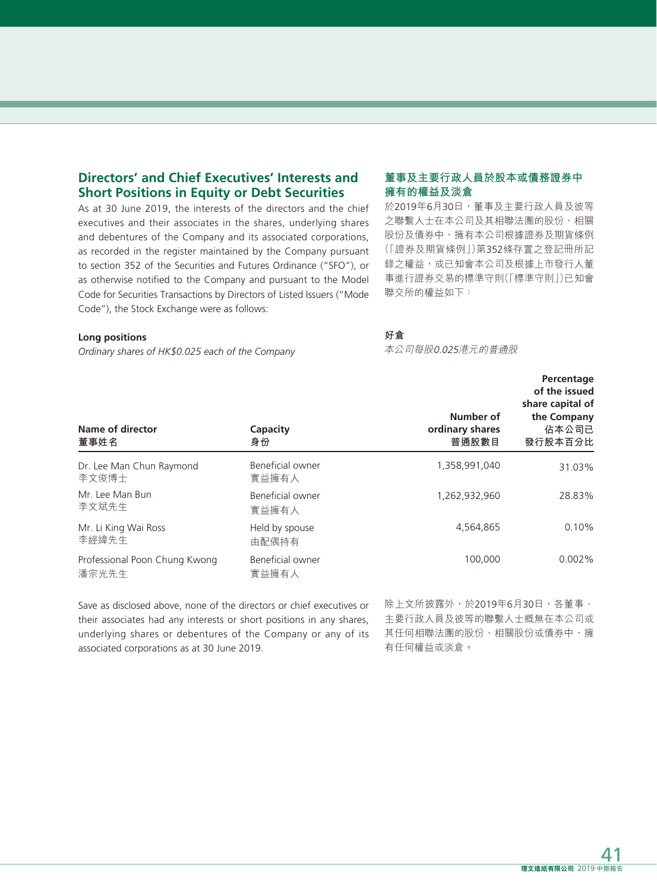# **Directors' and Chief Executives' Interests and Short Positions in Equity or Debt Securities**

As at 30 June 2019, the interests of the directors and the chief executives and their associates in the shares, underlying shares and debentures of the Company and its associated corporations, as recorded in the register maintained by the Company pursuant to section 352 of the Securities and Futures Ordinance ("SFO"), or as otherwise notified to the Company and pursuant to the Model Code for Securities Transactions by Directors of Listed Issuers ("Mode Code"), the Stock Exchange were as follows:

#### **Long positions**

*Ordinary shares of HK\$0.025 each of the Company*

# **董事及主要行政人員於股本或債務證券中 擁有的權益及淡倉**

於2019年6月30日,董事及主要行政人員及彼等 之聯繫人士在本公司及其相聯法團的股份、相關 股份及債券中,擁有本公司根據證券及期貨條例 (「證券及期貨條例」)第352條存置之登記冊所記 錄之權益,或已知會本公司及根據上市發行人董 事進行證券交易的標準守則(「標準守則」)已知會 聯交所的權益如下:

#### **好倉**

本公司每股0.025港元的普通股

| Name of director<br>董事姓名               | Capacity<br>身份            | Number of<br>ordinary shares<br>普通股數目 | Percentage<br>of the issued<br>share capital of<br>the Company<br>佔本公司已<br>發行股本百分比 |
|----------------------------------------|---------------------------|---------------------------------------|------------------------------------------------------------------------------------|
| Dr. Lee Man Chun Raymond<br>李文俊博士      | Beneficial owner<br>實益擁有人 | 1,358,991,040                         | 31.03%                                                                             |
| Mr. Lee Man Bun<br>李文斌先生               | Beneficial owner<br>實益擁有人 | 1,262,932,960                         | 28.83%                                                                             |
| Mr. Li King Wai Ross<br>李經緯先生          | Held by spouse<br>由配偶持有   | 4,564,865                             | 0.10%                                                                              |
| Professional Poon Chung Kwong<br>潘宗光先生 | Beneficial owner<br>實益擁有人 | 100,000                               | $0.002\%$                                                                          |

Save as disclosed above, none of the directors or chief executives or their associates had any interests or short positions in any shares, underlying shares or debentures of the Company or any of its associated corporations as at 30 June 2019.

除上文所披露外,於2019年6月30日,各董事、 主要行政人員及彼等的聯繫人士概無在本公司或 其任何相聯法團的股份、相關股份或債券中,擁 有任何權益或淡倉。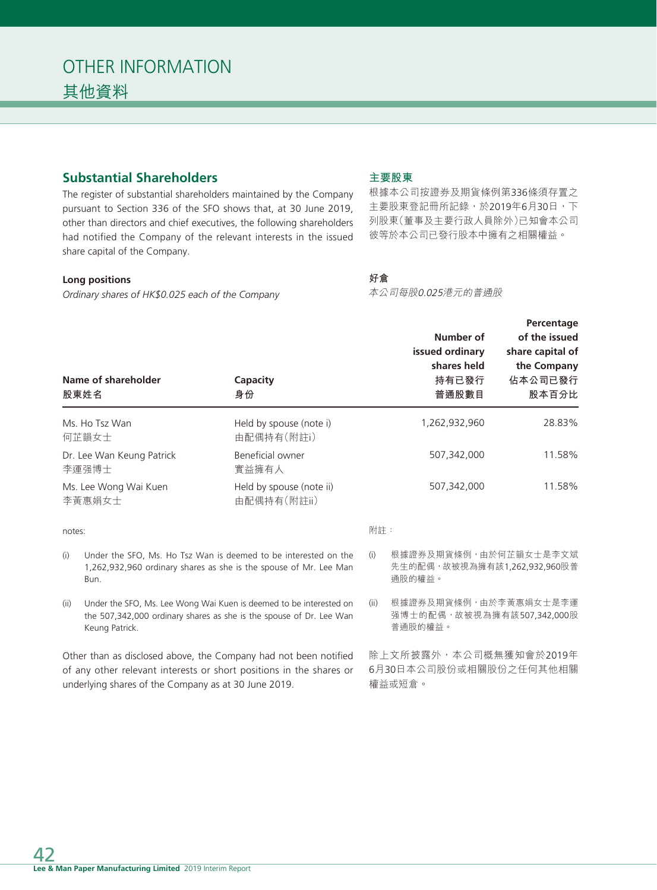# **Substantial Shareholders**

The register of substantial shareholders maintained by the Company pursuant to Section 336 of the SFO shows that, at 30 June 2019, other than directors and chief executives, the following shareholders had notified the Company of the relevant interests in the issued share capital of the Company.

#### **Long positions**

*Ordinary shares of HK\$0.025 each of the Company*

### **主要股東**

根據本公司按證券及期貨條例第336條須存置之 主要股東登記冊所記錄,於2019年6月30日,下 列股東(董事及主要行政人員除外)已知會本公司 彼等於本公司已發行股本中擁有之相關權益。

# **好倉**

本公司每股0.025港元的普通股

|        | Name of shareholder<br>股東姓名                          | Capacity<br>身份                                                                                                                            |      | Number of<br>issued ordinary<br>shares held<br>持有已發行<br>普通股數目   | Percentage<br>of the issued<br>share capital of<br>the Company<br>佔本公司已發行<br>股本百分比 |
|--------|------------------------------------------------------|-------------------------------------------------------------------------------------------------------------------------------------------|------|-----------------------------------------------------------------|------------------------------------------------------------------------------------|
|        | Ms. Ho Tsz Wan<br>何芷韻女士                              | Held by spouse (note i)<br>由配偶持有(附註i)                                                                                                     |      | 1,262,932,960                                                   | 28.83%                                                                             |
|        | Dr. Lee Wan Keung Patrick<br>李運强博士                   | Beneficial owner<br>實益擁有人                                                                                                                 |      | 507,342,000                                                     | 11.58%                                                                             |
|        | Ms. Lee Wong Wai Kuen<br>李黃惠娟女士                      | Held by spouse (note ii)<br>由配偶持有(附註ii)                                                                                                   |      | 507,342,000                                                     | 11.58%                                                                             |
| notes: |                                                      |                                                                                                                                           | 附註:  |                                                                 |                                                                                    |
| (i)    | Bun.                                                 | Under the SFO, Ms. Ho Tsz Wan is deemed to be interested on the<br>1,262,932,960 ordinary shares as she is the spouse of Mr. Lee Man      | (i)  | 根據證券及期貨條例,由於何芷韻女士是李文斌<br>先生的配偶,故被視為擁有該1,262,932,960股普<br>通股的權益。 |                                                                                    |
| (ii)   | Keung Patrick.                                       | Under the SFO, Ms. Lee Wong Wai Kuen is deemed to be interested on<br>the 507,342,000 ordinary shares as she is the spouse of Dr. Lee Wan | (ii) | 根據證券及期貨條例,由於李黃惠娟女士是李運<br>强博士的配偶, 故被視為擁有該507,342,000股<br>普通股的權益。 |                                                                                    |
|        | underlying shares of the Company as at 30 June 2019. | Other than as disclosed above, the Company had not been notified<br>of any other relevant interests or short positions in the shares or   |      | 除上文所披露外,本公司概無獲知會於2019年<br>6月30日本公司股份或相關股份之任何其他相關<br>權益或短倉。      |                                                                                    |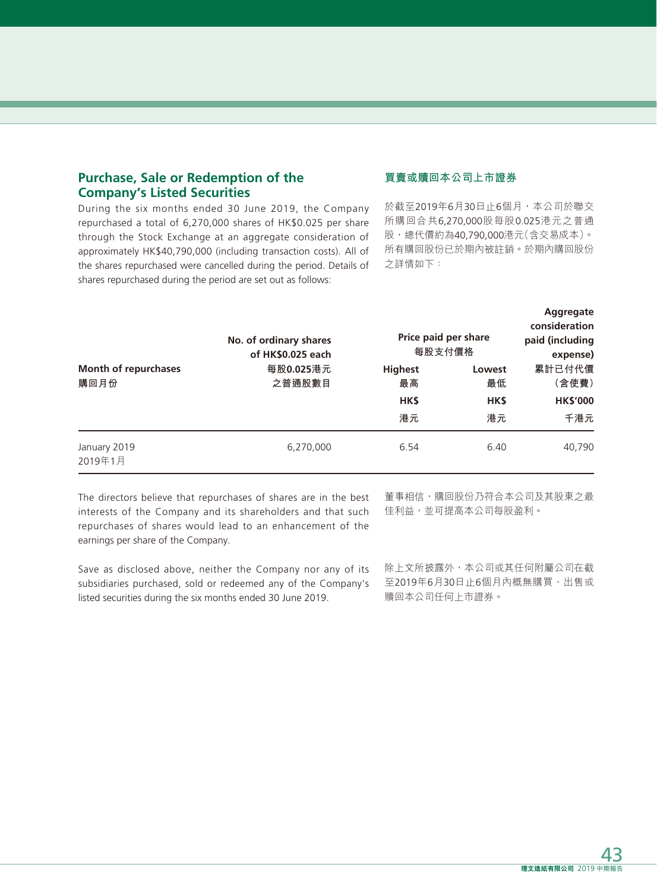# **Purchase, Sale or Redemption of the Company's Listed Securities**

During the six months ended 30 June 2019, the Company repurchased a total of 6,270,000 shares of HK\$0.025 per share through the Stock Exchange at an aggregate consideration of approximately HK\$40,790,000 (including transaction costs). All of the shares repurchased were cancelled during the period. Details of shares repurchased during the period are set out as follows:

# **買賣或贖回本公司上市證券**

於截至2019年6月30日止6個月,本公司於聯交 所購回合共6,270,000股每股0.025港元之普通 股,總代價約為40,790,000港元(含交易成本)。 所有購回股份已於期內被註銷。於期內購回股份 之詳情如下:

|                              | No. of ordinary shares<br>of HK\$0.025 each | Price paid per share<br>每股支付價格 |              | Aggregate<br>consideration<br>paid (including<br>expense) |
|------------------------------|---------------------------------------------|--------------------------------|--------------|-----------------------------------------------------------|
| Month of repurchases<br>購回月份 | 每股0.025港元<br>之普通股數目                         | <b>Highest</b><br>最高           | Lowest<br>最低 | 累計已付代價<br>(含使費)                                           |
|                              |                                             | HK\$                           | <b>HKS</b>   | <b>HK\$'000</b>                                           |
|                              |                                             | 港元                             | 港元           | 千港元                                                       |
| January 2019<br>2019年1月      | 6,270,000                                   | 6.54                           | 6.40         | 40,790                                                    |

The directors believe that repurchases of shares are in the best interests of the Company and its shareholders and that such repurchases of shares would lead to an enhancement of the earnings per share of the Company.

Save as disclosed above, neither the Company nor any of its subsidiaries purchased, sold or redeemed any of the Company's listed securities during the six months ended 30 June 2019.

董事相信,購回股份乃符合本公司及其股東之最 佳利益,並可提高本公司每股盈利。

除上文所披露外,本公司或其任何附屬公司在截 至2019年6月30日止6個月內概無購買、出售或 贖回本公司任何上市證券。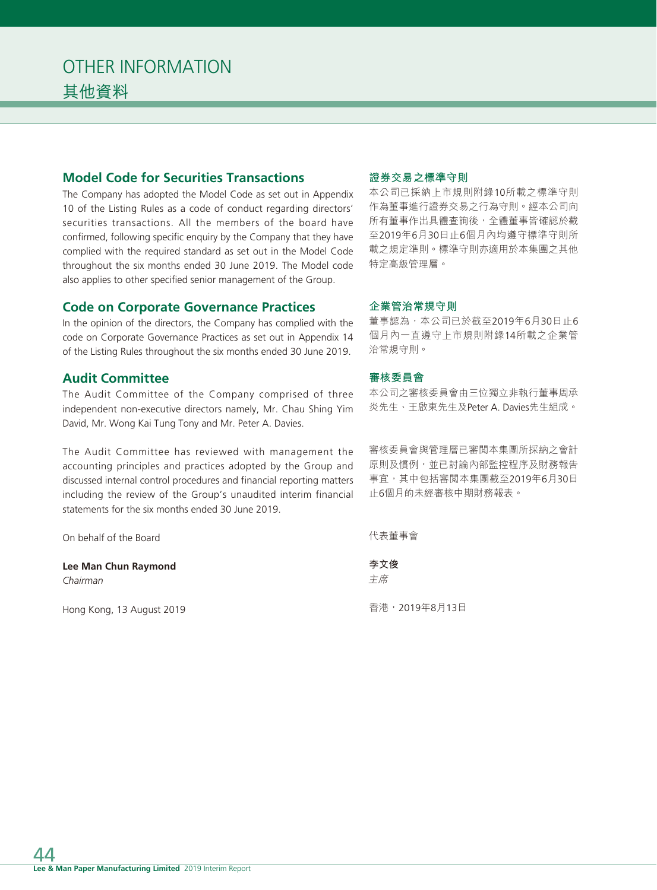# **Model Code for Securities Transactions**

The Company has adopted the Model Code as set out in Appendix 10 of the Listing Rules as a code of conduct regarding directors' securities transactions. All the members of the board have confirmed, following specific enquiry by the Company that they have complied with the required standard as set out in the Model Code throughout the six months ended 30 June 2019. The Model code also applies to other specified senior management of the Group.

# **Code on Corporate Governance Practices**

In the opinion of the directors, the Company has complied with the code on Corporate Governance Practices as set out in Appendix 14 of the Listing Rules throughout the six months ended 30 June 2019.

# **Audit Committee**

The Audit Committee of the Company comprised of three independent non-executive directors namely, Mr. Chau Shing Yim David, Mr. Wong Kai Tung Tony and Mr. Peter A. Davies.

The Audit Committee has reviewed with management the accounting principles and practices adopted by the Group and discussed internal control procedures and financial reporting matters including the review of the Group's unaudited interim financial statements for the six months ended 30 June 2019.

On behalf of the Board

**Lee Man Chun Raymond** *Chairman*

Hong Kong, 13 August 2019

# **證券交易之標準守則**

本公司已採納上市規則附錄10所載之標準守則 作為董事進行證券交易之行為守則。經本公司向 所有董事作出具體查詢後,全體董事皆確認於截 至2019年6月30日止6個月內均遵守標準守則所 載之規定準則。標準守則亦適用於本集團之其他 特定高級管理層。

### **企業管治常規守則**

董事認為,本公司已於截至2019年6月30日止6 個月內一直遵守上市規則附錄14所載之企業管 治常規守則。

# **審核委員會**

本公司之審核委員會由三位獨立非執行董事周承 炎先生、王啟東先生及Peter A. Davies先生組成。

審核委員會與管理層已審閱本集團所採納之會計 原則及慣例,並已討論內部監控程序及財務報告 事宜,其中包括審閱本集團截至2019年6月30日 止6個月的未經審核中期財務報表。

代表董事會

**李文俊** 主席

香港,2019年8月13日